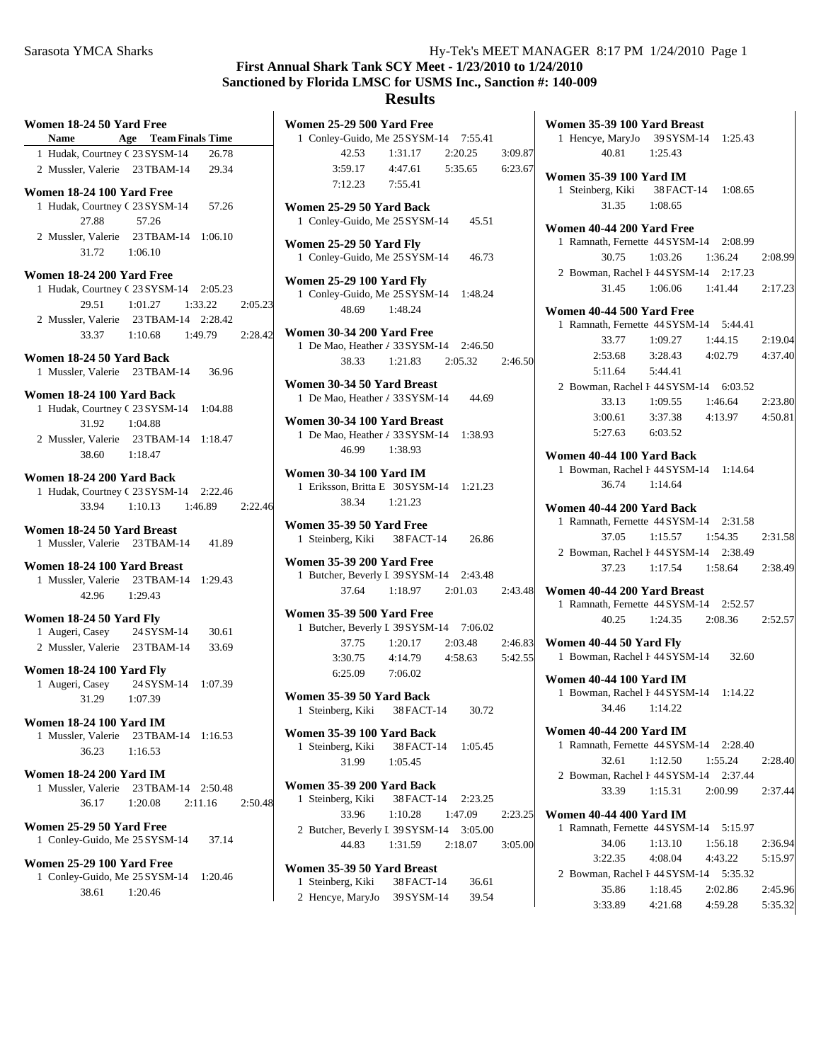#### Sarasota YMCA Sharks Hy-Tek's MEET MANAGER 8:17 PM 1/24/2010 Page 1

# **First Annual Shark Tank SCY Meet - 1/23/2010 to 1/24/2010 Sanctioned by Florida LMSC for USMS Inc., Sanction #: 140-009**

### **Results**

| Women 18-24 50 Yard Free                                          | Name Age Team Finals Time     |         |
|-------------------------------------------------------------------|-------------------------------|---------|
| 1 Hudak, Courtney C 23 SYSM-14 26.78                              |                               |         |
| 2 Mussler, Valerie 23 TBAM-14 29.34                               |                               |         |
| Women 18-24 100 Yard Free                                         |                               |         |
| 1 Hudak, Courtney C 23 SYSM-14 57.26                              |                               |         |
| 27.88                                                             | 57.26                         |         |
| 2 Mussler, Valerie 23 TBAM-14 1:06.10                             |                               |         |
|                                                                   | 31.72   1:06.10               |         |
| Women 18-24 200 Yard Free                                         |                               |         |
| 1 Hudak, Courtney C 23 SYSM-14 2:05.23                            |                               |         |
| 29.51                                                             | $1:01.27$ $1:33.22$ $2:05.23$ |         |
| 2 Mussler, Valerie 23 TBAM-14 2:28.42                             |                               |         |
|                                                                   | 33.37 1:10.68 1:49.79 2:28.42 |         |
| Women 18-24 50 Yard Back                                          |                               |         |
| 1 Mussler, Valerie 23 TBAM-14 36.96                               |                               |         |
| Women 18-24 100 Yard Back                                         |                               |         |
| 1 Hudak, Courtney C 23 SYSM-14 1:04.88                            |                               |         |
| 31.92                                                             | 1:04.88                       |         |
| 2 Mussler, Valerie 23 TBAM-14 1:18.47                             |                               |         |
|                                                                   | 38.60 1:18.47                 |         |
| Women 18-24 200 Yard Back                                         |                               |         |
| 1 Hudak, Courtney C 23 SYSM-14 2:22.46                            |                               |         |
|                                                                   | 33.94 1:10.13 1:46.89 2:22.46 |         |
| Women 18-24 50 Yard Breast<br>1 Mussler, Valerie 23 TBAM-14 41.89 |                               |         |
| Women 18-24 100 Yard Breast                                       |                               |         |
|                                                                   |                               |         |
| 1 Mussler, Valerie 23 TBAM-14 1:29.43                             | 42.96 1:29.43                 |         |
|                                                                   |                               |         |
| Women 18-24 50 Yard Fly                                           |                               |         |
| 1 Augeri, Casey 24 SYSM-14 30.61                                  |                               |         |
| 2 Mussler, Valerie 23 TBAM-14 33.69                               |                               |         |
| Women 18-24 100 Yard Fly                                          |                               |         |
| 1 Augeri, Casey 24 SYSM-14 1:07.39<br>31.29 1:07.39               |                               |         |
|                                                                   |                               |         |
| <b>Women 18-24 100 Yard IM</b>                                    |                               |         |
| 1 Mussler, Valerie 23 TBAM-14 1:16.53                             |                               |         |
| 36.23                                                             | 1:16.53                       |         |
| <b>Women 18-24 200 Yard IM</b>                                    |                               |         |
| 1 Mussler, Valerie 23 TBAM-14 2:50.48                             |                               |         |
| 36.17                                                             | $1:20.08$ $2:11.16$           | 2:50.48 |
| Women 25-29 50 Yard Free                                          |                               |         |
| 1 Conley-Guido, Me 25 SYSM-14 37.14                               |                               |         |
| <b>Women 25-29 100 Yard Free</b>                                  |                               |         |
| 1 Conley-Guido, Me 25 SYSM-14 1:20.46                             |                               |         |
| 38.61                                                             | 1:20.46                       |         |
|                                                                   |                               |         |

| Women 25-29 500 Yard Free             |                       |                               |         |
|---------------------------------------|-----------------------|-------------------------------|---------|
| 1 Conley-Guido, Me 25 SYSM-14 7:55.41 |                       |                               |         |
|                                       | 42.53 1:31.17 2:20.25 |                               | 3:09.87 |
|                                       |                       | $3:59.17$ $4:47.61$ $5:35.65$ | 6:23.67 |
|                                       | $7:12.23$ $7:55.41$   |                               |         |
| Women 25-29 50 Yard Back              |                       |                               |         |
| 1 Conley-Guido, Me 25 SYSM-14         |                       | 45.51                         |         |
| <b>Women 25-29 50 Yard Fly</b>        |                       |                               |         |
| 1 Conley-Guido, Me 25 SYSM-14         |                       | 46.73                         |         |

**Women 25-29 100 Yard Fly** 1 Conley-Guido, Me 25 SYSM-14 1:48.24 48.69 1:48.24

**Women 30-34 200 Yard Free** 1 De Mao, Heather  $\angle$  33 SYSM-14 2:46.50 38.33 1:21.83 2:46.50 2:05.32

**Women 30-34 50 Yard Breast** 1 De Mao, Heather *A* 33 SYSM-14 44.69

**Women 30-34 100 Yard Breast** 1 De Mao, Heather A 33 SYSM-14 1:38.93 46.99 1:38.93

**Women 30-34 100 Yard IM** 1 Eriksson, Britta E 30 SYSM-14 1:21.23 38.34 1:21.23

**Women 35-39 50 Yard Free** 1 Steinberg, Kiki 38 FACT-14 26.86

**Women 35-39 200 Yard Free** 1 Butcher, Beverly L 39 SYSM-14 2:43.48 37.64 1:18.97 2:43.48 2:01.03

**Women 35-39 500 Yard Free** 1 Butcher, Beverly L 39 SYSM-14 7:06.02 37.75 1:20.17 2:46.83 2:03.48 3:30.75 4:14.79 4:58.63 5:42.55 6:25.09 7:06.02

**Women 35-39 50 Yard Back** 1 30.72 Steinberg, Kiki 38FACT-14

**Women 35-39 100 Yard Back** 1 Steinberg, Kiki 38 FACT-14 1:05.45 31.99 1:05.45

**Women 35-39 200 Yard Back** 1 Steinberg, Kiki 38 FACT-14 2:23.25 33.96 1:10.28 2:23.25 1:47.09 2 Butcher, Beverly L 39 SYSM-14 3:05.00 44.83 1:31.59 2:18.07 3:05.00

**Women 35-39 50 Yard Breast** 1 36.61 Steinberg, Kiki 38FACT-14 2 39.54 Hencye, MaryJo 39SYSM-14

| Women 35-39 100 Yard Breast                                         |                                 |                 |         |
|---------------------------------------------------------------------|---------------------------------|-----------------|---------|
| 1 Hencye, MaryJo 39 SYSM-14 1:25.43<br>40.81                        | 1:25.43                         |                 |         |
|                                                                     |                                 |                 |         |
| Women 35-39 100 Yard IM                                             |                                 |                 |         |
| 1 Steinberg, Kiki 38 FACT-14 1:08.65                                |                                 |                 |         |
| 31.35                                                               | 1:08.65                         |                 |         |
| <b>Women 40-44 200 Yard Free</b>                                    |                                 |                 |         |
| 1 Ramnath, Fernette 44 SYSM-14 2:08.99                              |                                 |                 |         |
| 30.75                                                               | 1:03.26 1:36.24                 |                 | 2:08.99 |
| 2 Bowman, Rachel I 44 SYSM-14 2:17.23                               |                                 |                 |         |
| 31.45                                                               | $1:06.06$ $1:41.44$ $2:17.23$   |                 |         |
|                                                                     |                                 |                 |         |
| Women 40-44 500 Yard Free<br>1 Ramnath, Fernette 44 SYSM-14 5:44.41 |                                 |                 |         |
|                                                                     |                                 |                 |         |
| 33.77                                                               | 1:09.27                         | 1:44.15         | 2:19.04 |
|                                                                     | 2:53.68 3:28.43 4:02.79 4:37.40 |                 |         |
| 5:11.64                                                             | 5:44.41                         |                 |         |
| 2 Bowman, Rachel F 44 SYSM-14 6:03.52                               |                                 |                 |         |
| 33.13                                                               | 1:09.55                         | 1:46.64 2:23.80 |         |
| 3:00.61                                                             | 3:37.38 4:13.97 4:50.81         |                 |         |
| 5:27.63                                                             | 6:03.52                         |                 |         |
| Women 40-44 100 Yard Back                                           |                                 |                 |         |
| 1 Bowman, Rachel I 44 SYSM-14 1:14.64                               |                                 |                 |         |
| 36.74 1:14.64                                                       |                                 |                 |         |
| Women 40-44 200 Yard Back                                           |                                 |                 |         |
| 1 Ramnath, Fernette 44 SYSM-14 2:31.58                              |                                 |                 |         |
| 37.05                                                               | 1:15.57                         | 1:54.35         | 2:31.58 |
| 2 Bowman, Rachel F 44 SYSM-14 2:38.49                               |                                 |                 |         |
| 37.23                                                               | 1:17.54 1:58.64 2:38.49         |                 |         |
|                                                                     |                                 |                 |         |
| Women 40-44 200 Yard Breast                                         |                                 |                 |         |
| 1 Ramnath, Fernette 44 SYSM-14 2:52.57                              |                                 |                 |         |
| 40.25                                                               | $1:24.35$ $2:08.36$ $2:52.57$   |                 |         |
| Women 40-44 50 Yard Fly                                             |                                 |                 |         |
| 1 Bowman, Rachel I 44 SYSM-14 32.60                                 |                                 |                 |         |
|                                                                     |                                 |                 |         |
| <b>Women 40-44 100 Yard IM</b>                                      |                                 |                 |         |
| 1 Bowman, Rachel I 44 SYSM-14 1:14.22                               |                                 |                 |         |
| 34.46                                                               | 1:14.22                         |                 |         |
| <b>Women 40-44 200 Yard IM</b>                                      |                                 |                 |         |
| 1 Ramnath, Fernette 44 SYSM-14 2:28.40                              |                                 |                 |         |
| 32.61                                                               | 1:12.50                         | 1:55.24         | 2:28.40 |
| 2 Bowman, Rachel I 44 SYSM-14                                       |                                 | 2:37.44         |         |

**Women 40-44 400 Yard IM** 1 5:15.97 Ramnath, Fernette 44SYSM-14 34.06 1:13.10 2:36.94 1:56.18 3:22.35 4:08.04 4:43.22 5:15.97 2 Bowman, Rachel H 44 SYSM-14 5:35.32 35.86 1:18.45 2:45.96 2:02.86 3:33.89 4:21.68 4:59.28 5:35.32

33.39 1:15.31 2:37.44 2:00.99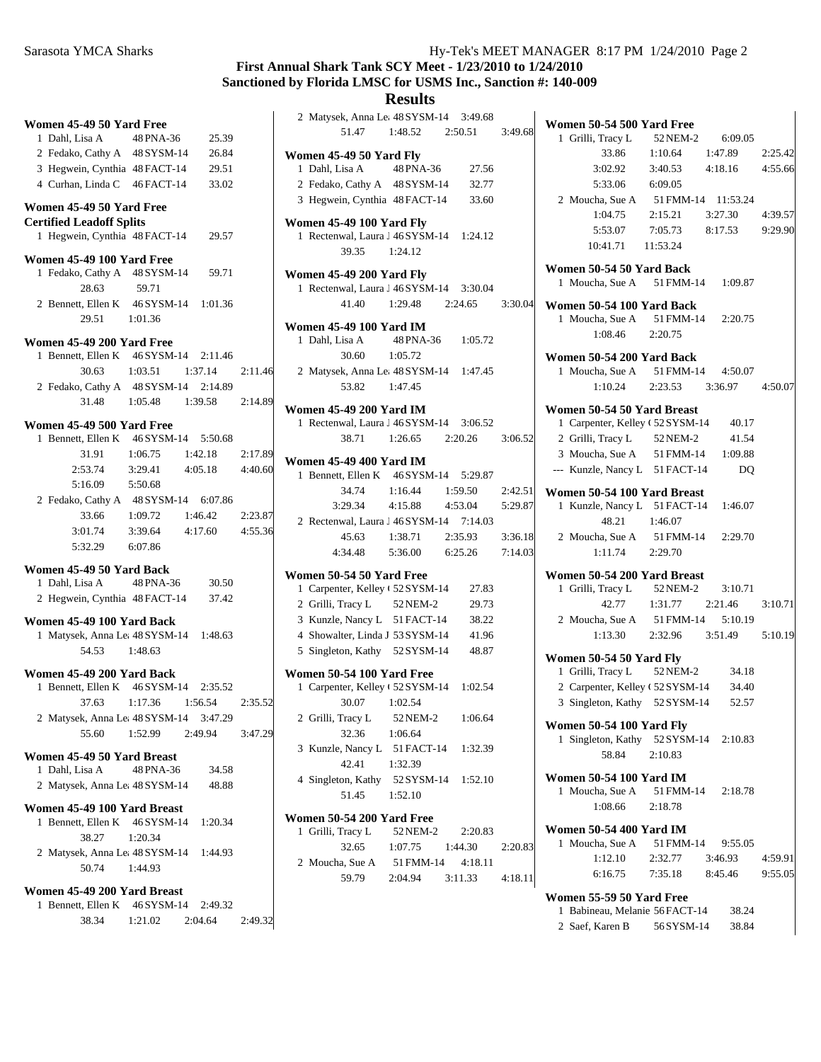## **First Annual Shark Tank SCY Meet - 1/23/2010 to 1/24/2010 Sanctioned by Florida LMSC for USMS Inc., Sanction #: 140-009**

## **Results**

|                                                                     |                       |         |         | 2 Matysek, An                          |
|---------------------------------------------------------------------|-----------------------|---------|---------|----------------------------------------|
| Women 45-49 50 Yard Free                                            |                       |         |         | 51.47                                  |
| 1 Dahl, Lisa A                                                      | 48 PNA-36             | 25.39   |         |                                        |
| 2 Fedako, Cathy A 48 SYSM-14                                        |                       | 26.84   |         | <b>Women 45-49 5</b>                   |
| 3 Hegwein, Cynthia 48 FACT-14                                       |                       | 29.51   |         | 1 Dahl, Lisa A                         |
| 4 Curhan, Linda C 46 FACT-14                                        |                       | 33.02   |         | 2 Fedako, Cath                         |
| Women 45-49 50 Yard Free                                            |                       |         |         | 3 Hegwein, Cy                          |
| <b>Certified Leadoff Splits</b>                                     |                       |         |         | <b>Women 45-49 1</b>                   |
| 1 Hegwein, Cynthia 48 FACT-14                                       |                       | 29.57   |         | 1 Rectenwal, L                         |
| Women 45-49 100 Yard Free                                           |                       |         |         | 39.35                                  |
| 1 Fedako, Cathy A                                                   | 48 SYSM-14            | 59.71   |         | <b>Women 45-492</b>                    |
| 28.63                                                               | 59.71                 |         |         | 1 Rectenwal, L                         |
| 2 Bennett, Ellen K 46 SYSM-14                                       |                       | 1:01.36 |         | 41.40                                  |
| 29.51                                                               | 1:01.36               |         |         |                                        |
|                                                                     |                       |         |         | <b>Women 45-49 1</b><br>1 Dahl, Lisa A |
| Women 45-49 200 Yard Free<br>1 Bennett, Ellen K 46 SYSM-14          |                       | 2:11.46 |         | 30.60                                  |
| 30.63                                                               | 1:03.51               | 1:37.14 | 2:11.46 | 2 Matysek, An                          |
| 2 Fedako, Cathy A 48 SYSM-14                                        |                       | 2:14.89 |         | 53.82                                  |
| 31.48                                                               |                       |         |         |                                        |
|                                                                     | 1:05.48               | 1:39.58 | 2:14.89 | <b>Women 45-492</b>                    |
| Women 45-49 500 Yard Free                                           |                       |         |         | 1 Rectenwal, L                         |
| 1 Bennett, Ellen K 46 SYSM-14                                       |                       | 5:50.68 |         | 38.71                                  |
| 31.91                                                               | 1:06.75               | 1:42.18 | 2:17.89 | <b>Women 45-49 4</b>                   |
| 2:53.74                                                             | 3:29.41               | 4:05.18 | 4:40.60 | 1 Bennett, Elle                        |
| 5:16.09                                                             | 5:50.68               |         |         | 34.74                                  |
| 2 Fedako, Cathy A 48 SYSM-14 6:07.86                                |                       |         |         | 3:29.34                                |
| 33.66                                                               | 1:09.72               | 1:46.42 | 2:23.87 | 2 Rectenwal, L                         |
| 3:01.74                                                             | 3:39.64               | 4:17.60 | 4:55.36 | 45.63                                  |
| 5:32.29                                                             | 6:07.86               |         |         | 4:34.48                                |
| Women 45-49 50 Yard Back                                            |                       |         |         |                                        |
| 1 Dahl, Lisa A                                                      | 48 PNA-36             | 30.50   |         | <b>Women 50-54 5</b>                   |
| 2 Hegwein, Cynthia 48 FACT-14                                       |                       | 37.42   |         | 1 Carpenter, K                         |
|                                                                     |                       |         |         | 2 Grilli, Tracy<br>3 Kunzle, Nano      |
| Women 45-49 100 Yard Back<br>1 Matysek, Anna Le: 48 SYSM-14 1:48.63 |                       |         |         | 4 Showalter, L                         |
| 54.53                                                               | 1:48.63               |         |         | 5 Singleton, Ka                        |
|                                                                     |                       |         |         |                                        |
| Women 45-49 200 Yard Back                                           |                       |         |         | <b>Women 50-54 1</b>                   |
| 1 Bennett, Ellen K 46 SYSM-14 2:35.52                               |                       |         |         | 1 Carpenter, K                         |
|                                                                     | 37.63 1:17.36 1:56.54 |         | 2:35.52 | 30.07                                  |
| 2 Matysek, Anna Le: 48 SYSM-14 3:47.29                              |                       |         |         | 2 Grilli, Tracy                        |
| 55.60                                                               | 1:52.99               | 2:49.94 | 3:47.29 | 32.36                                  |
| Women 45-49 50 Yard Breast                                          |                       |         |         | 3 Kunzle, Nano                         |
| 1 Dahl, Lisa A                                                      | 48 PNA-36             | 34.58   |         | 42.41                                  |
| 2 Matysek, Anna Le: 48 SYSM-14                                      |                       | 48.88   |         | 4 Singleton, Ka                        |
| Women 45-49 100 Yard Breast                                         |                       |         |         | 51.45                                  |
| 1 Bennett, Ellen K                                                  | 46 SYSM-14            | 1:20.34 |         | <b>Women 50-542</b>                    |
| 38.27                                                               | 1:20.34               |         |         | 1 Grilli, Tracy                        |
| 2 Matysek, Anna Le: 48 SYSM-14                                      |                       | 1:44.93 |         | 32.65                                  |
| 50.74                                                               | 1:44.93               |         |         | 2 Moucha, Sue                          |
|                                                                     |                       |         |         | 59.79                                  |
| Women 45-49 200 Yard Breast                                         |                       |         |         |                                        |
| 1 Bennett, Ellen K 46 SYSM-14                                       |                       | 2:49.32 |         |                                        |
| 38.34                                                               | 1:21.02               | 2:04.64 | 2:49.32 |                                        |

| 2 Matysek, Anna Le: 48 SYSM-14 3:49.68           |                     |                                 |         |
|--------------------------------------------------|---------------------|---------------------------------|---------|
|                                                  |                     | 51.47 1:48.52 2:50.51 3:49.68   |         |
| <b>Women 45-49 50 Yard Fly</b>                   |                     |                                 |         |
| 1 Dahl, Lisa A                                   | 48 PNA-36           | 27.56                           |         |
| 2 Fedako, Cathy A 48 SYSM-14                     |                     | 32.77                           |         |
| 3 Hegwein, Cynthia 48 FACT-14 33.60              |                     |                                 |         |
|                                                  |                     |                                 |         |
| Women 45-49 100 Yard Fly                         |                     |                                 |         |
| 1 Rectenwal, Laura J 46 SYSM-14 1:24.12          |                     |                                 |         |
| 39.35 1:24.12                                    |                     |                                 |         |
| Women 45-49 200 Yard Fly                         |                     |                                 |         |
| 1 Rectenwal, Laura J 46 SYSM-14 3:30.04          |                     |                                 |         |
| 41.40                                            |                     | 1:29.48 2:24.65 3:30.04         |         |
|                                                  |                     |                                 |         |
| Women 45-49 100 Yard IM                          |                     |                                 |         |
| 1 Dahl, Lisa A                                   | 48 PNA-36 1:05.72   |                                 |         |
| 30.60                                            | 1:05.72             |                                 |         |
| 2 Matysek, Anna Le: 48 SYSM-14 1:47.45           |                     |                                 |         |
| 53.82                                            | 1:47.45             |                                 |         |
| <b>Women 45-49 200 Yard IM</b>                   |                     |                                 |         |
| 1 Rectenwal, Laura J 46 SYSM-14 3:06.52          |                     |                                 |         |
| 38.71                                            |                     | 1:26.65 2:20.26 3:06.52         |         |
|                                                  |                     |                                 |         |
| <b>Women 45-49 400 Yard IM</b>                   |                     |                                 |         |
| 1 Bennett, Ellen K 46 SYSM-14 5:29.87            |                     |                                 |         |
| 34.74                                            | $1:16.44$ $1:59.50$ |                                 | 2:42.51 |
|                                                  |                     | 3:29.34 4:15.88 4:53.04 5:29.87 |         |
| 2 Rectenwal, Laura J 46 SYSM-14 7:14.03          |                     |                                 |         |
|                                                  |                     | 45.63 1:38.71 2:35.93 3:36.18   |         |
| 4:34.48   5:36.00   6:25.26   7:14.03            |                     |                                 |         |
| Women 50-54 50 Yard Free                         |                     |                                 |         |
| 1 Carpenter, Kelley (52 SYSM-14                  |                     | 27.83                           |         |
| 2 Grilli, Tracy L 52 NEM-2                       |                     | 29.73                           |         |
| 3 Kunzle, Nancy L 51 FACT-14                     |                     | 38.22                           |         |
| 4 Showalter, Linda J 53 SYSM-14 41.96            |                     |                                 |         |
| 5 Singleton, Kathy 52 SYSM-14 48.87              |                     |                                 |         |
|                                                  |                     |                                 |         |
| Women 50-54 100 Yard Free                        |                     |                                 |         |
| 1 Carpenter, Kelley (52 SYSM-14 1:02.54<br>30.07 | 1:02.54             |                                 |         |
|                                                  |                     |                                 |         |
| 2 Grilli, Tracy L 52 NEM-2                       |                     | 1:06.64                         |         |
| 32.36 1:06.64                                    |                     |                                 |         |
| 3 Kunzle, Nancy L 51 FACT-14 1:32.39             |                     |                                 |         |
| 42.41                                            | 1:32.39             |                                 |         |
| 4 Singleton, Kathy 52 SYSM-14 1:52.10            |                     |                                 |         |
| 51.45 1:52.10                                    |                     |                                 |         |
| Women 50-54 200 Yard Free                        |                     |                                 |         |
| 1 Grilli, Tracy L                                | 52 NEM-2            | 2:20.83                         |         |
| 32.65                                            |                     | $1:07.75$ $1:44.30$             | 2:20.83 |
| 2 Moucha, Sue A                                  | 51 FMM-14 4:18.11   |                                 |         |
| 59.79                                            |                     | $2:04.94$ $3:11.33$ $4:18.11$   |         |
|                                                  |                     |                                 |         |
|                                                  |                     |                                 |         |

| Women 50-54 500 Yard Free                                   |                     |                                         |         |
|-------------------------------------------------------------|---------------------|-----------------------------------------|---------|
| 1 Grilli, Tracy L                                           | 52 NEM-2 6:09.05    |                                         |         |
| 33.86                                                       | $1:10.64$ $1:47.89$ |                                         | 2:25.42 |
|                                                             |                     | 3:02.92 3:40.53 4:18.16 4:55.66         |         |
| 5:33.06 6:09.05                                             |                     |                                         |         |
| 2 Moucha, Sue A 51 FMM-14 11:53.24                          |                     |                                         |         |
| 1:04.75                                                     |                     | 2:15.21 3:27.30 4:39.57                 |         |
|                                                             |                     |                                         |         |
| 10:41.71  11:53.24                                          |                     | 5:53.07 7:05.73 8:17.53 9:29.90         |         |
|                                                             |                     |                                         |         |
| Women 50-54 50 Yard Back                                    |                     |                                         |         |
| 1 Moucha, Sue A 51 FMM-14 1:09.87                           |                     |                                         |         |
| Women 50-54 100 Yard Back                                   |                     |                                         |         |
| 1 Moucha, Sue A 51 FMM-14 2:20.75                           |                     |                                         |         |
| 1:08.46 2:20.75                                             |                     |                                         |         |
|                                                             |                     |                                         |         |
| Women 50-54 200 Yard Back                                   |                     |                                         |         |
| 1 Moucha, Sue A 51 FMM-14 4:50.07                           |                     |                                         |         |
|                                                             |                     | $1:10.24$ $2:23.53$ $3:36.97$ $4:50.07$ |         |
| Women 50-54 50 Yard Breast                                  |                     |                                         |         |
| 1 Carpenter, Kelley (52 SYSM-14 40.17                       |                     |                                         |         |
| 2 Grilli, Tracy L 52 NEM-2                                  |                     | 41.54                                   |         |
| 3 Moucha, Sue A 51 FMM-14 1:09.88                           |                     |                                         |         |
| --- Kunzle, Nancy L 51 FACT-14                              |                     | DO                                      |         |
|                                                             |                     |                                         |         |
| Women 50-54 100 Yard Breast                                 |                     |                                         |         |
| 1 Kunzle, Nancy L 51 FACT-14 1:46.07                        |                     |                                         |         |
| 48.21 1:46.07                                               |                     |                                         |         |
| 2 Moucha, Sue A 51 FMM-14 2:29.70                           |                     |                                         |         |
| 1:11.74 2:29.70                                             |                     |                                         |         |
| Women 50-54 200 Yard Breast                                 |                     |                                         |         |
|                                                             |                     |                                         |         |
| 1 Grilli, Tracy L 52 NEM-2 3:10.71<br>42.77 1:31.77 2:21.46 |                     |                                         | 3:10.71 |
| 2 Moucha, Sue A 51 FMM-14 5:10.19                           |                     |                                         |         |
|                                                             |                     | $1:13.30$ $2:32.96$ $3:51.49$ $5:10.19$ |         |
|                                                             |                     |                                         |         |
| Women 50-54 50 Yard Fly                                     |                     |                                         |         |
| 1 Grilli, Tracy L 52 NEM-2 34.18                            |                     |                                         |         |
| 2 Carpenter, Kelley (52 SYSM-14 34.40                       |                     |                                         |         |
| 3 Singleton, Kathy 52 SYSM-14                               |                     | 52.57                                   |         |
| Women 50-54 100 Yard Fly                                    |                     |                                         |         |
| 1 Singleton, Kathy 52 SYSM-14 2:10.83                       |                     |                                         |         |
| 58.84 2:10.83                                               |                     |                                         |         |
|                                                             |                     |                                         |         |
| <b>Women 50-54 100 Yard IM</b>                              |                     |                                         |         |
| 1 Moucha, Sue A 51 FMM-14 2:18.78                           |                     |                                         |         |
| 1:08.66                                                     | 2:18.78             |                                         |         |
| <b>Women 50-54 400 Yard IM</b>                              |                     |                                         |         |
| 1 Moucha, Sue A 51 FMM-14 9:55.05                           |                     |                                         |         |
|                                                             |                     | $1:12.10$ $2:32.77$ $3:46.93$           | 4:59.91 |
|                                                             |                     | 6:16.75 7:35.18 8:45.46 9:55.05         |         |
|                                                             |                     |                                         |         |
| Women 55-59 50 Yard Free                                    |                     |                                         |         |
| Babineau, Melanie 56 FACT-14 38.24<br>1                     |                     |                                         |         |

2 Saef, Karen B 56 SYSM-14 38.84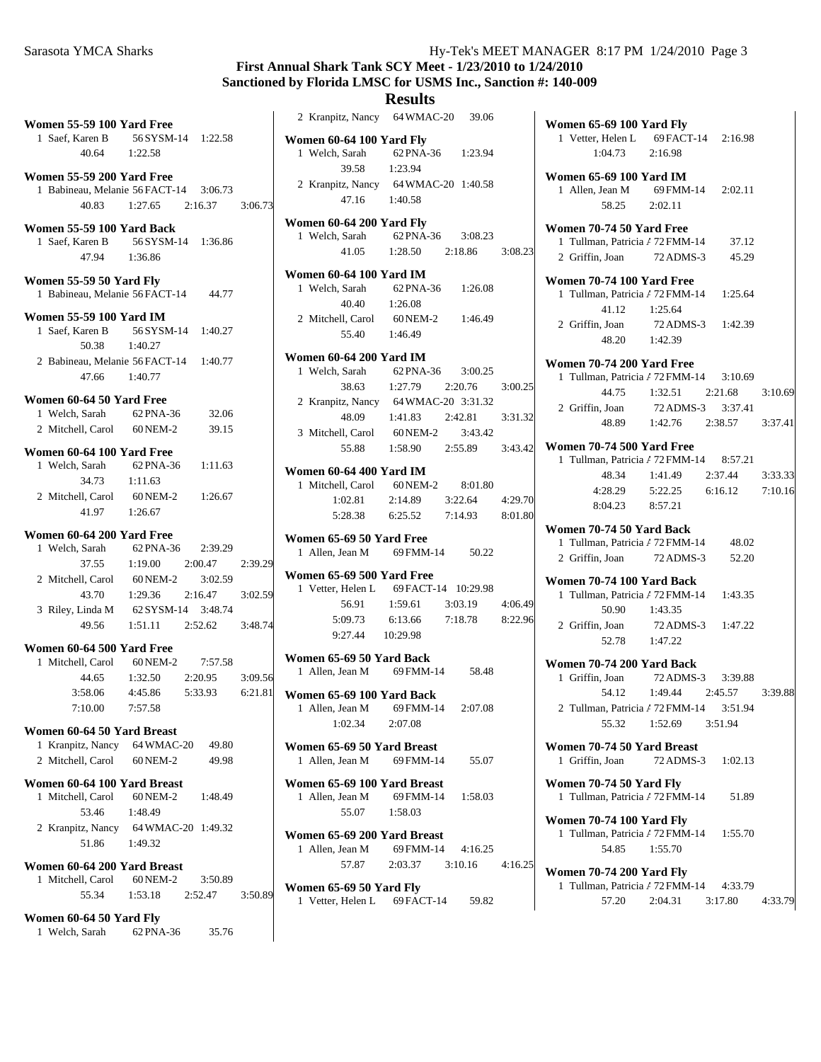## **First Annual Shark Tank SCY Meet - 1/23/2010 to 1/24/2010 Sanctioned by Florida LMSC for USMS Inc., Sanction #: 140-009**

| Women 55-59 100 Yard Free                                                                    |                                               |                               |                               | 2 Kranpitz, Nar                                                          |
|----------------------------------------------------------------------------------------------|-----------------------------------------------|-------------------------------|-------------------------------|--------------------------------------------------------------------------|
| 1 Saef, Karen B<br>40.64                                                                     | 56 SYSM-14<br>1:22.58                         | 1:22.58                       |                               | <b>Women 60-64 10</b><br>1 Welch, Sarah                                  |
| Women 55-59 200 Yard Free<br>1 Babineau, Melanie 56 FACT-14<br>40.83                         | 1:27.65                                       | 3:06.73<br>2:16.37            | 3:06.73                       | 39.58<br>2 Kranpitz, Nar<br>47.16                                        |
| Women 55-59 100 Yard Back<br>1 Saef, Karen B<br>47.94                                        | 56 SYSM-14<br>1:36.86                         | 1:36.86                       |                               | Women 60-64 20<br>1 Welch, Sarah<br>41.05                                |
| Women 55-59 50 Yard Fly<br>1 Babineau, Melanie 56 FACT-14                                    |                                               | 44.77                         |                               | <b>Women 60-64 10</b><br>1 Welch, Sarah<br>40.40                         |
| <b>Women 55-59 100 Yard IM</b><br>1 Saef, Karen B<br>50.38                                   | 56 SYSM-14<br>1:40.27                         | 1:40.27                       |                               | 2 Mitchell, Caro<br>55.40                                                |
| 2 Babineau, Melanie 56 FACT-14<br>47.66                                                      | 1:40.77                                       | 1:40.77                       |                               | <b>Women 60-64 20</b><br>1 Welch, Sarah<br>38.63                         |
| Women 60-64 50 Yard Free<br>1 Welch, Sarah<br>2 Mitchell, Carol 60 NEM-2                     | 62 PNA-36                                     | 32.06<br>39.15                |                               | 2 Kranpitz, Nar<br>48.09<br>3 Mitchell, Caro                             |
| Women 60-64 100 Yard Free<br>1 Welch, Sarah<br>34.73<br>2 Mitchell, Carol<br>41.97           | 62 PNA-36<br>1:11.63<br>60 NEM-2<br>1:26.67   | 1:11.63<br>1:26.67            |                               | 55.88<br><b>Women 60-64 40</b><br>1 Mitchell, Care<br>1:02.81<br>5:28.38 |
| Women 60-64 200 Yard Free<br>1 Welch, Sarah                                                  | 62 PNA-36                                     | 2:39.29                       |                               | <b>Women 65-69 50</b><br>1 Allen, Jean M                                 |
| 37.55<br>2 Mitchell, Carol 60 NEM-2<br>43.70<br>3 Riley, Linda M 62 SYSM-14 3:48.74<br>49.56 | 1:19.00<br>1:29.36<br>$1:51.11$ $2:52.62$     | 2:00.47<br>3:02.59<br>2:16.47 | 2:39.29<br>3:02.59<br>3:48.74 | <b>Women 65-69 50</b><br>1 Vetter, Helen<br>56.91<br>5:09.73<br>9:27.44  |
| Women 60-64 500 Yard Free                                                                    |                                               |                               |                               |                                                                          |
| 44.65                                                                                        | 1 Mitchell, Carol 60 NEM-2 7:57.58<br>1:32.50 | 2:20.95                       | 3:09.56                       | <b>Women 65-69 50</b><br>1 Allen, Jean M                                 |
| 3:58.06<br>7:10.00                                                                           | 4:45.86<br>7:57.58                            | 5:33.93                       | 6:21.81                       | <b>Women 65-69 10</b><br>1 Allen, Jean M<br>1:02.34                      |
| Women 60-64 50 Yard Breast<br>1 Kranpitz, Nancy<br>2 Mitchell, Carol                         | 64 WMAC-20<br>60 NEM-2                        | 49.80<br>49.98                |                               | <b>Women 65-69 50</b><br>1 Allen, Jean M                                 |
| Women 60-64 100 Yard Breast<br>1 Mitchell, Carol<br>53.46                                    | 60 NEM-2<br>1:48.49                           | 1:48.49                       |                               | Women 65-69 10<br>1 Allen, Jean M<br>55.07                               |
| 2 Kranpitz, Nancy<br>51.86                                                                   | 64 WMAC-20 1:49.32<br>1:49.32                 |                               |                               | Women 65-69 20<br>1 Allen, Jean M                                        |
| Women 60-64 200 Yard Breast<br>1 Mitchell, Carol<br>55.34                                    | 60 NEM-2<br>1:53.18                           | 3:50.89<br>2:52.47            | 3:50.89                       | 57.87<br>Women 65-69 50<br>1 Vetter, Helen                               |

| 2 Kranpitz, Nancy 64 WMAC-20 39.06                                   |                               |         |         | Won                 |
|----------------------------------------------------------------------|-------------------------------|---------|---------|---------------------|
| Women 60-64 100 Yard Fly                                             |                               |         |         | 1                   |
| 1 Welch, Sarah<br>39.58                                              | 62 PNA-36 1:23.94<br>1:23.94  |         |         |                     |
| 2 Kranpitz, Nancy 64 WMAC-20 1:40.58                                 |                               |         |         | Won<br>1.           |
| 47.16 1:40.58                                                        |                               |         |         |                     |
| Women 60-64 200 Yard Fly<br>1 Welch, Sarah 62 PNA-36 3:08.23         |                               |         |         | Won                 |
|                                                                      | 41.05 1:28.50 2:18.86 3:08.23 |         |         | 1<br>$\overline{2}$ |
| <b>Women 60-64 100 Yard IM</b>                                       |                               |         |         |                     |
| 1 Welch, Sarah 62 PNA-36 1:26.08                                     |                               |         |         | Won<br>$\mathbf{1}$ |
| 40.40                                                                | 1:26.08                       |         |         |                     |
| 2 Mitchell, Carol 60 NEM-2<br>55.40 1:46.49                          |                               | 1:46.49 |         | 2 <sub>1</sub>      |
|                                                                      |                               |         |         |                     |
| <b>Women 60-64 200 Yard IM</b><br>1 Welch, Sarah                     | 62 PNA-36 3:00.25             |         |         | Won                 |
| 38.63                                                                | 1:27.79 2:20.76               |         | 3:00.25 | $\mathbf{1}$        |
| 2 Kranpitz, Nancy 64 WMAC-20 3:31.32                                 |                               |         |         | 2 <sub>1</sub>      |
| 48.09                                                                | 1:41.83  2:42.81              |         | 3:31.32 |                     |
| 3 Mitchell, Carol 60 NEM-2                                           | 55.88 1:58.90 2:55.89 3:43.42 | 3:43.42 |         | Won                 |
|                                                                      |                               |         |         | 1                   |
| <b>Women 60-64 400 Yard IM</b><br>1 Mitchell, Carol 60 NEM-2 8:01.80 |                               |         |         |                     |
| 1:02.81                                                              | 2:14.89 3:22.64               |         | 4:29.70 |                     |
| 5:28.38                                                              | 6:25.52 7:14.93 8:01.80       |         |         |                     |
| Women 65-69 50 Yard Free                                             |                               |         |         | Won                 |
| 1 Allen, Jean M 69 FMM-14 50.22                                      |                               |         |         | 1<br>$\mathbf{2}$   |
| Women 65-69 500 Yard Free                                            |                               |         |         | Won                 |
| 1 Vetter, Helen L 69 FACT-14 10:29.98                                |                               |         |         | 1                   |
| 56.91                                                                | $1:59.61$ $3:03.19$ $4:06.49$ |         |         |                     |
| 5:09.73<br>9:27.44 10:29.98                                          | 6:13.66                       | 7:18.78 | 8:22.96 | 2 <sub>1</sub>      |
| Women 65-69 50 Yard Back                                             |                               |         |         |                     |
| 1 Allen, Jean M 69 FMM-14 58.48                                      |                               |         |         | Won<br>1            |
| Women 65-69 100 Yard Back                                            |                               |         |         |                     |
| 1 Allen, Jean M 69 FMM-14 2:07.08                                    |                               |         |         | $2^{\prime}$        |
| $1:02.34$ $2:07.08$                                                  |                               |         |         |                     |
| Women 65-69 50 Yard Breast                                           |                               |         |         | Won                 |
| 1 Allen, Jean M 69 FMM-14 55.07                                      |                               |         |         | 1                   |
| Women 65-69 100 Yard Breast<br>1 Allen, Jean M                       | 69 FMM-14 1:58.03             |         |         | Won<br>1            |
| 55.07                                                                | 1:58.03                       |         |         |                     |
|                                                                      |                               |         |         | Won<br>1            |
| Women 65-69 200 Yard Breast<br>1 Allen, Jean M                       | 69 FMM-14 4:16.25             |         |         |                     |
|                                                                      | 57.87 2:03.37 3:10.16 4:16.25 |         |         |                     |
| <b>Women 65-69 50 Yard Fly</b>                                       |                               |         |         | Won<br>1            |
| 1 Vetter, Helen L 69 FACT-14 59.82                                   |                               |         |         |                     |
|                                                                      |                               |         |         |                     |
|                                                                      |                               |         |         |                     |
|                                                                      |                               |         |         |                     |
|                                                                      |                               |         |         |                     |

| Women 65-69 100 Yard Fly<br>1 Vetter, Helen L 69 FACT-14 2:16.98<br>$1:04.73$ 2:16.98                                                      |         |
|--------------------------------------------------------------------------------------------------------------------------------------------|---------|
| <b>Women 65-69 100 Yard IM</b><br>1 Allen, Jean M 69 FMM-14 2:02.11<br>58.25 2:02.11                                                       |         |
| Women 70-74 50 Yard Free<br>1 Tullman, Patricia / 72 FMM-14 37.12<br>2 Griffin, Joan 72 ADMS-3<br>45.29                                    |         |
| Women 70-74 100 Yard Free<br>1 Tullman, Patricia / 72 FMM-14 1:25.64<br>41.12<br>1:25.64<br>72 ADMS-3 1:42.39<br>2 Griffin, Joan           |         |
| 48.20  1:42.39<br>Women 70-74 200 Yard Free                                                                                                |         |
| 1 Tullman, Patricia / 72 FMM-14 3:10.69<br>44.75   1:32.51   2:21.68<br>2 Griffin, Joan 72 ADMS-3 3:37.41<br>48.89 1:42.76 2:38.57 3:37.41 | 3:10.69 |
| Women 70-74 500 Yard Free<br>1 Tullman, Patricia / 72 FMM-14 8:57.21<br>$1:41.49$ $2:37.44$ $3:33.33$<br>48.34                             |         |
| $4:28.29$ $5:22.25$ $6:16.12$<br>8:04.23 8:57.21<br>Women 70-74 50 Yard Back                                                               | 7:10.16 |
| 1 Tullman, Patricia / 72 FMM-14 48.02<br>2 Griffin, Joan 72 ADMS-3 52.20                                                                   |         |
| Women 70-74 100 Yard Back<br>1 Tullman, Patricia / 72 FMM-14 1:43.35<br>50.90 1:43.35<br>2 Griffin, Joan 72 ADMS-3 1:47.22                 |         |
| 52.78 1:47.22<br>Women 70-74 200 Yard Back<br>1 Griffin, Joan                                                                              |         |
| Joan 72 ADMS-3 3:39.88<br>54.12 1:49.44 2:45.57<br>2 Tullman, Patricia / 72 FMM-14 3:51.94<br>$1:52.69$ $3:51.94$<br>55.32                 | 3:39.88 |
| Women 70-74 50 Yard Breast<br>1 Griffin, Joan<br>72 ADMS-3 1:02.13                                                                         |         |
| Women 70-74 50 Yard Fly<br>1 Tullman, Patricia / 72 FMM-14<br>51.89                                                                        |         |
| <b>Women 70-74 100 Yard Fly</b><br>1 Tullman, Patricia / 72 FMM-14<br>1:55.70<br>54.85<br>1:55.70                                          |         |
| <b>Women 70-74 200 Yard Fly</b><br>1 Tullman, Patricia / 72 FMM-14<br>4:33.79<br>57.20  2:04.31  3:17.80                                   | 4:33.79 |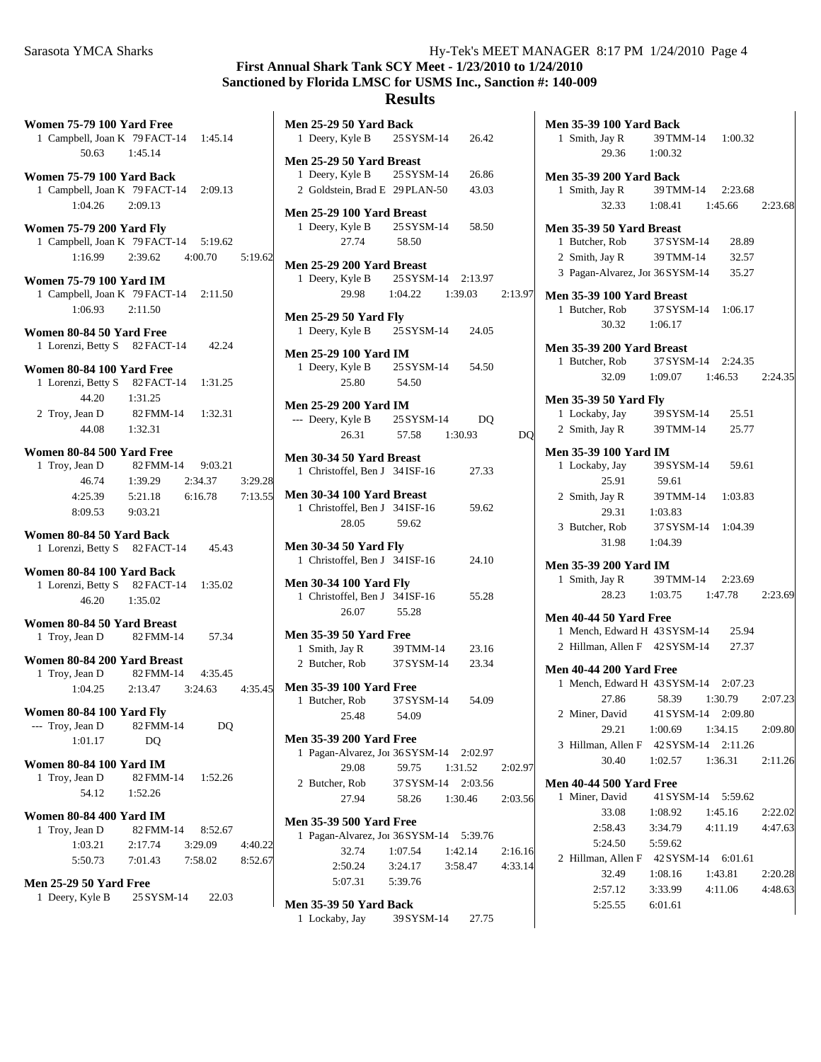**Women 75-79 100 Yard Free** 1 Campbell, Joan K 79 FACT-14 1:45.14 50.63 1:45.14 **Women 75-79 100 Yard Back** 1 2:09.13 Campbell, Joan K 79FACT-14 1:04.26 2:09.13 **Women 75-79 200 Yard Fly** 1 Campbell, Joan K 79 FACT-14 5:19.62 1:16.99 2:39.62 4:00.70 5:19.62 **Women 75-79 100 Yard IM** 1 Campbell, Joan K 79 FACT-14 2:11.50 1:06.93 2:11.50 **Women 80-84 50 Yard Free** 1 Lorenzi, Betty S 82 FACT-14 42.24 **Women 80-84 100 Yard Free** 1 Lorenzi, Betty S 82 FACT-14 1:31.25 44.20 1:31.25 2 Troy, Jean D 82 FMM-14 1:32.31 44.08 1:32.31 **Women 80-84 500 Yard Free** 1 Troy, Jean D 82 FMM-14 9:03.21 46.74 1:39.29 3:29.28 2:34.37 4:25.39 5:21.18 6:16.78 7:13.55 8:09.53 9:03.21 **Women 80-84 50 Yard Back** 1 45.43 Lorenzi, Betty S 82FACT-14 **Women 80-84 100 Yard Back** 1 Lorenzi, Betty S 82 FACT-14 1:35.02 46.20 1:35.02 **Women 80-84 50 Yard Breast** 1 Troy, Jean D 82 FMM-14 57.34 **Women 80-84 200 Yard Breast** 1 Troy, Jean D 82 FMM-14 4:35.45 1:04.25 2:13.47 3:24.63 4:35.45 **Women 80-84 100 Yard Fly**  $-$ --- Troy, Jean D  $82$  FMM-14 DQ 1:01.17 DQ **Women 80-84 100 Yard IM** 1 Troy, Jean D 82 FMM-14 1:52.26 54.12 1:52.26 **Women 80-84 400 Yard IM** 1 Troy, Jean D 82 FMM-14 8:52.67 1:03.21 2:17.74 3:29.09 4:40.22 5:50.73 7:01.43 7:58.02 8:52.67 **Men 25-29 50 Yard Free** 1 Deery, Kyle B 25 SYSM-14 22.03

|            |                    | Sanctioned by Florida LMSC for USMS Inc., Sanction #: 140-009<br><b>Results</b>                                               |                                       |
|------------|--------------------|-------------------------------------------------------------------------------------------------------------------------------|---------------------------------------|
| .14        |                    | <b>Men 25-29 50 Yard Back</b><br>1 Deery, Kyle B<br>26.42<br>25 SYSM-14                                                       | Men 35-3<br>1 Smith                   |
| .13        |                    | Men 25-29 50 Yard Breast<br>1 Deery, Kyle B 25 SYSM-14<br>26.86<br>2 Goldstein, Brad E 29 PLAN-50<br>43.03                    | Men 35-3<br>1 Smith                   |
| .62        |                    | Men 25-29 100 Yard Breast<br>1 Deery, Kyle B<br>25 SYSM-14<br>58.50<br>27.74<br>58.50                                         | Men 35-3<br>1 Butch                   |
| .50        | 5:19.62            | Men 25-29 200 Yard Breast<br>1 Deery, Kyle B 25 SYSM-14<br>2:13.97<br>29.98 1:04.22 1:39.03<br>2:13.97                        | 2 Smith<br>3 Pagan<br>Men 35-3        |
|            |                    | <b>Men 25-29 50 Yard Fly</b><br>1 Deery, Kyle B 25 SYSM-14<br>24.05                                                           | 1 Butch                               |
| .24        |                    | <b>Men 25-29 100 Yard IM</b><br>1 Deery, Kyle B 25 SYSM-14<br>54.50                                                           | Men 35-3<br>1 Butch                   |
| .25<br>.31 |                    | 25.80<br>54.50<br><b>Men 25-29 200 Yard IM</b><br>--- Deery, Kyle B 25 SYSM-14<br>DO                                          | <b>Men 35-3</b><br>1 Locka<br>2 Smith |
| .21        |                    | 26.31<br>57.58<br>1:30.93<br>DQ<br>Men 30-34 50 Yard Breast<br>1 Christoffel, Ben J 34 ISF-16<br>27.33                        | <b>Men 35-3</b><br>1 Locka            |
|            | 3:29.28<br>7:13.55 | Men 30-34 100 Yard Breast<br>1 Christoffel, Ben J 34 ISF-16<br>59.62<br>59.62<br>28.05                                        | 2 Smith                               |
| .43        |                    | <b>Men 30-34 50 Yard Fly</b><br>1 Christoffel, Ben J 34 ISF-16<br>24.10                                                       | 3 Butch<br>Men 35-3                   |
| .02        |                    | <b>Men 30-34 100 Yard Fly</b><br>1 Christoffel, Ben J 34 ISF-16<br>55.28<br>26.07<br>55.28                                    | 1 Smith                               |
| .34        |                    | <b>Men 35-39 50 Yard Free</b><br>1 Smith, Jay R<br>39 TMM-14<br>23.16                                                         | <b>Men 40-4</b><br>1 Mencl<br>2 Hillm |
| .45        | 4:35.45            | 2 Butcher, Rob 37 SYSM-14<br>23.34<br><b>Men 35-39 100 Yard Free</b>                                                          | <b>Men 40-4</b><br>1 Mencl            |
| ЭQ         |                    | 1 Butcher, Rob<br>37 SYSM-14 54.09<br>25.48<br>54.09<br><b>Men 35-39 200 Yard Free</b>                                        | 2 Miner                               |
| .26        |                    | 1 Pagan-Alvarez, Jor 36 SYSM-14 2:02.97<br>29.08<br>59.75<br>1:31.52<br>2:02.97<br>2 Butcher, Rob<br>37 SYSM-14<br>2:03.56    | 3 Hillm<br><b>Men 40-4</b>            |
|            |                    | 27.94<br>58.26<br>1:30.46<br>2:03.56<br><b>Men 35-39 500 Yard Free</b>                                                        | 1 Miner                               |
| .67        | 4:40.22<br>8:52.67 | 1 Pagan-Alvarez, Jor 36 SYSM-14 5:39.76<br>32.74<br>1:07.54<br>1:42.14<br>2:16.16<br>2:50.24<br>3:24.17<br>3:58.47<br>4:33.14 | 2 Hillm                               |
| .03        |                    | 5:07.31<br>5:39.76<br>Men 35-39 50 Yard Back                                                                                  |                                       |

1 Lockaby, Jay 39 SYSM-14 27.75

| $Hy-Tek's MEET MANAGER 8:17 PM 1/24/2010 Page 4$                 |  |
|------------------------------------------------------------------|--|
| <b>First Annual Shark Tank SCY Meet - 1/23/2010 to 1/24/2010</b> |  |
| notioned by Florida I MSC for HSMS Inc. Senotion #+ 140 000      |  |

|         | Men 35-39 100 Yard Back                                           |                    |
|---------|-------------------------------------------------------------------|--------------------|
|         | 1 Smith, Jay R 39 TMM-14 1:00.32<br>29.36 1:00.32                 |                    |
|         |                                                                   |                    |
|         | <b>Men 35-39 200 Yard Back</b>                                    |                    |
|         | 1 Smith, Jay R 39 TMM-14 2:23.68                                  |                    |
|         | 32.33 1:08.41 1:45.66 2:23.68                                     |                    |
|         | Men 35-39 50 Yard Breast                                          |                    |
|         | 1 Butcher, Rob 37 SYSM-14 28.89                                   |                    |
|         | 2 Smith, Jay R 39 TMM-14<br>32.57                                 |                    |
|         | 3 Pagan-Alvarez, Joi 36 SYSM-14 35.27                             |                    |
| 2:13.97 | Men 35-39 100 Yard Breast                                         |                    |
|         | 1 Butcher, Rob 37 SYSM-14 1:06.17                                 |                    |
|         | 30.32 1:06.17                                                     |                    |
|         | Men 35-39 200 Yard Breast                                         |                    |
|         | 1 Butcher, Rob 37 SYSM-14 2:24.35                                 |                    |
|         | 32.09 1:09.07 1:46.53 2:24.35                                     |                    |
|         |                                                                   |                    |
|         | <b>Men 35-39 50 Yard Fly</b><br>1 Lockaby, Jay 39 SYSM-14 25.51   |                    |
|         | 2 Smith, Jay R 39 TMM-14 25.77                                    |                    |
| DO      |                                                                   |                    |
|         | <b>Men 35-39 100 Yard IM</b>                                      |                    |
|         | 1 Lockaby, Jay 39 SYSM-14 59.61<br>25.91                          |                    |
|         | 59.61<br>39 TMM-14 1:03.83<br>2 Smith, Jay R                      |                    |
|         | 29.31 1:03.83                                                     |                    |
|         | 3 Butcher, Rob 37 SYSM-14 1:04.39                                 |                    |
|         | 31.98 1:04.39                                                     |                    |
|         |                                                                   |                    |
|         | Men 35-39 200 Yard IM                                             |                    |
|         | 1 Smith, Jay R 39 TMM-14 2:23.69<br>28.23 1:03.75 1:47.78 2:23.69 |                    |
|         |                                                                   |                    |
|         | <b>Men 40-44 50 Yard Free</b>                                     |                    |
|         | 1 Mench, Edward H 43 SYSM-14 25.94                                |                    |
|         | 2 Hillman, Allen F 42 SYSM-14 27.37                               |                    |
|         | <b>Men 40-44 200 Yard Free</b>                                    |                    |
|         | 1 Mench, Edward H 43 SYSM-14 2:07.23                              |                    |
|         | 58.39 1:30.79 2:07.23<br>27.86                                    |                    |
|         | 2 Miner, David<br>41 SYSM-14 2:09.80<br>1:34.15                   |                    |
|         | 29.21<br>1:00.69<br>3 Hillman, Allen F 42 SYSM-14 2:11.26         | 2:09.80            |
|         | 30.40<br>1:02.57<br>1:36.31                                       |                    |
| 2:02.97 |                                                                   | 2:11.26            |
|         | <b>Men 40-44 500 Yard Free</b>                                    |                    |
| 2:03.56 | 41 SYSM-14 5:59.62<br>1 Miner, David                              |                    |
|         | 33.08<br>1:08.92<br>1:45.16                                       | 2:22.02            |
|         | 2:58.43<br>3:34.79<br>4:11.19                                     | 4:47.63            |
| 2:16.16 | 5:24.50<br>5:59.62                                                |                    |
| 4:33.14 | 2 Hillman, Allen F 42 SYSM-14 6:01.61                             |                    |
|         | 32.49<br>1:08.16<br>1:43.81<br>2:57.12<br>3:33.99<br>4:11.06      | 2:20.28<br>4:48.63 |
|         | 5:25.55<br>6:01.61                                                |                    |
|         |                                                                   |                    |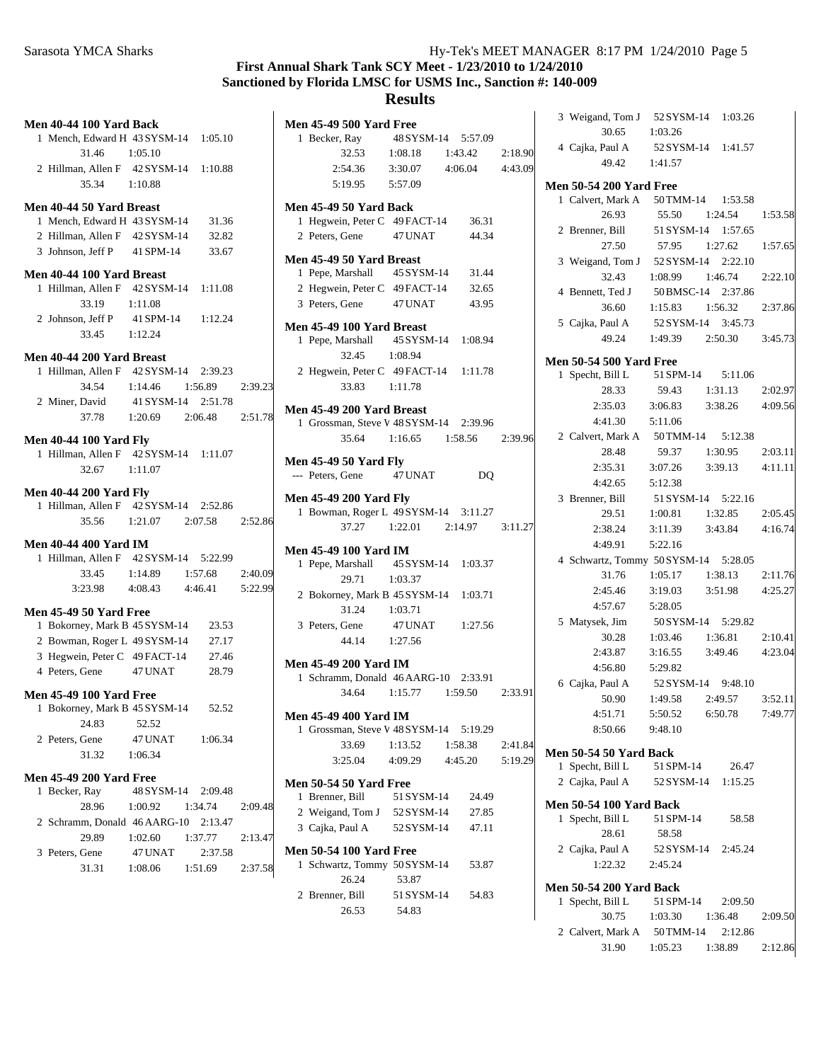# **First Annual Shark Tank SCY Meet - 1/23/2010 to 1/24/2010 Sanctioned by Florida LMSC for USMS Inc., Sanction #: 140-009**

| Men 40-44 100 Yard Back               |         |                                     |  |
|---------------------------------------|---------|-------------------------------------|--|
| 1 Mench, Edward H 43 SYSM-14 1:05.10  |         |                                     |  |
| 31.46 1:05.10                         |         |                                     |  |
| 2 Hillman, Allen F 42 SYSM-14 1:10.88 |         |                                     |  |
| 35.34 1:10.88                         |         |                                     |  |
| Men 40-44 50 Yard Breast              |         |                                     |  |
| 1 Mench, Edward H 43 SYSM-14 31.36    |         |                                     |  |
| 2 Hillman, Allen F 42 SYSM-14 32.82   |         |                                     |  |
| 3 Johnson, Jeff P 41 SPM-14 33.67     |         |                                     |  |
|                                       |         |                                     |  |
| Men 40-44 100 Yard Breast             |         |                                     |  |
| 1 Hillman, Allen F 42 SYSM-14 1:11.08 |         |                                     |  |
| 33.19 1:11.08                         |         |                                     |  |
| 2 Johnson, Jeff P                     |         | 41 SPM-14 1:12.24                   |  |
| $33.45$ 1:12.24                       |         |                                     |  |
| Men 40-44 200 Yard Breast             |         |                                     |  |
| 1 Hillman, Allen F 42 SYSM-14 2:39.23 |         |                                     |  |
|                                       |         | 34.54   1:14.46   1:56.89   2:39.23 |  |
| 2 Miner, David 41 SYSM-14 2:51.78     |         |                                     |  |
|                                       |         | 37.78   1:20.69   2:06.48   2:51.78 |  |
|                                       |         |                                     |  |
| <b>Men 40-44 100 Yard Fly</b>         |         |                                     |  |
| 1 Hillman, Allen F 42 SYSM-14 1:11.07 |         |                                     |  |
| $32.67$ 1:11.07                       |         |                                     |  |
| <b>Men 40-44 200 Yard Fly</b>         |         |                                     |  |
| 1 Hillman, Allen F 42 SYSM-14 2:52.86 |         |                                     |  |
|                                       |         | 35.56 1:21.07 2:07.58 2:52.86       |  |
|                                       |         |                                     |  |
| <b>Men 40-44 400 Yard IM</b>          |         |                                     |  |
| 1 Hillman, Allen F 42 SYSM-14 5:22.99 |         |                                     |  |
|                                       |         | 33.45 1:14.89 1:57.68 2:40.09       |  |
|                                       |         | 3:23.98  4:08.43  4:46.41  5:22.99  |  |
| <b>Men 45-49 50 Yard Free</b>         |         |                                     |  |
| 1 Bokorney, Mark B 45 SYSM-14 23.53   |         |                                     |  |
| 2 Bowman, Roger L 49 SYSM-14          |         | 27.17                               |  |
| 3 Hegwein, Peter C 49 FACT-14         |         | 27.46                               |  |
| 4 Peters, Gene                        | 47 UNAT | 28.79                               |  |
|                                       |         |                                     |  |
| <b>Men 45-49 100 Yard Free</b>        |         |                                     |  |
| 1 Bokorney, Mark B 45 SYSM-14 52.52   |         |                                     |  |
| 24.83                                 | 52.52   |                                     |  |
| 2 Peters, Gene                        |         | 47 UNAT 1:06.34                     |  |
| 31.32 1:06.34                         |         |                                     |  |
| <b>Men 45-49 200 Yard Free</b>        |         |                                     |  |
| 1 Becker, Ray                         |         | 48 SYSM-14 2:09.48                  |  |
| 28.96                                 |         | $1:00.92$ $1:34.74$ $2:09.48$       |  |
| 2 Schramm, Donald 46 AARG-10 2:13.47  |         |                                     |  |
| 29.89                                 |         | 1:02.60 1:37.77 2:13.47             |  |
| 3 Peters, Gene 47 UNAT                |         | 2:37.58                             |  |
|                                       |         | 31.31 1:08.06 1:51.69 2:37.58       |  |
|                                       |         |                                     |  |

| <b>Men 45-49 500 Yard Free</b>                                         |            |                                     |  |
|------------------------------------------------------------------------|------------|-------------------------------------|--|
| 1 Becker, Ray 48 SYSM-14 5:57.09                                       |            |                                     |  |
|                                                                        |            | 32.53 1:08.18 1:43.42 2:18.90       |  |
|                                                                        |            | 2:54.36 3:30.07 4:06.04 4:43.09     |  |
| 5:19.95   5:57.09                                                      |            |                                     |  |
| Men 45-49 50 Yard Back                                                 |            |                                     |  |
| 1 Hegwein, Peter C 49 FACT-14 36.31                                    |            |                                     |  |
| 2 Peters, Gene 47 UNAT                                                 |            | 44.34                               |  |
| Men 45-49 50 Yard Breast                                               |            |                                     |  |
| 1 Pepe, Marshall                                                       |            | 45 SYSM-14 31.44                    |  |
| 2 Hegwein, Peter C 49 FACT-14 32.65                                    |            |                                     |  |
| 3 Peters, Gene                                                         |            | 47 UNAT 43.95                       |  |
| Men 45-49 100 Yard Breast                                              |            |                                     |  |
|                                                                        |            |                                     |  |
| 1 Pepe, Marshall 45 SYSM-14 1:08.94<br>32.45 1:08.94                   |            |                                     |  |
| 2 Hegwein, Peter C 49 FACT-14 1:11.78                                  |            |                                     |  |
| 33.83 1:11.78                                                          |            |                                     |  |
| Men 45-49 200 Yard Breast                                              |            |                                     |  |
| 1 Grossman, Steve V 48 SYSM-14 2:39.96                                 |            |                                     |  |
| 35.64                                                                  |            | 1:16.65 1:58.56 2:39.96             |  |
| <b>Men 45-49 50 Yard Fly</b>                                           |            |                                     |  |
| --- Peters, Gene 47 UNAT                                               |            | DQ                                  |  |
| <b>Men 45-49 200 Yard Fly</b>                                          |            |                                     |  |
| 1 Bowman, Roger L 49 SYSM-14 3:11.27                                   |            |                                     |  |
|                                                                        |            | 37.27   1:22.01   2:14.97   3:11.27 |  |
| <b>Men 45-49 100 Yard IM</b>                                           |            |                                     |  |
| 1 Pepe, Marshall 45 SYSM-14 1:03.37                                    |            |                                     |  |
| 29.71 1:03.37                                                          |            |                                     |  |
| 2 Bokorney, Mark B 45 SYSM-14 1:03.71                                  |            |                                     |  |
| 31.24 1:03.71                                                          |            |                                     |  |
| 3 Peters, Gene 47 UNAT 1:27.56                                         |            |                                     |  |
| 44.14 1:27.56                                                          |            |                                     |  |
| <b>Men 45-49 200 Yard IM</b>                                           |            |                                     |  |
| 1 Schramm, Donald 46 AARG-10 2:33.91                                   |            |                                     |  |
|                                                                        |            | 34.64 1:15.77 1:59.50 2:33.91       |  |
|                                                                        |            |                                     |  |
| <b>Men 45-49 400 Yard IM</b><br>1 Grossman, Steve V 48 SYSM-14 5:19.29 |            |                                     |  |
| 33.69                                                                  |            | 1:13.52   1:58.38   2:41.84         |  |
|                                                                        |            | 3:25.04  4:09.29  4:45.20  5:19.29  |  |
|                                                                        |            |                                     |  |
| <b>Men 50-54 50 Yard Free</b>                                          |            |                                     |  |
| 1 Brenner, Bill<br>2 Weigand, Tom J 52 SYSM-14                         |            | 51 SYSM-14 24.49                    |  |
|                                                                        |            | 27.85                               |  |
| 3 Cajka, Paul A 52 SYSM-14 47.11                                       |            |                                     |  |
| <b>Men 50-54 100 Yard Free</b>                                         |            |                                     |  |
| 1 Schwartz, Tommy 50 SYSM-14                                           |            | 53.87                               |  |
| 26.24                                                                  | 53.87      |                                     |  |
| 2 Brenner, Bill                                                        | 51 SYSM-14 | 54.83                               |  |
| 26.53                                                                  | 54.83      |                                     |  |

|                                | 3 Weigand, Tom J 52 SYSM-14 1:03.26                     |         |  |  |  |
|--------------------------------|---------------------------------------------------------|---------|--|--|--|
| 30.65                          | 1:03.26                                                 |         |  |  |  |
| 4 Cajka, Paul A                | Paul A 52 SYSM-14 1:41.57<br>49.42 1:41.57              |         |  |  |  |
|                                |                                                         |         |  |  |  |
| <b>Men 50-54 200 Yard Free</b> |                                                         |         |  |  |  |
|                                | 1 Calvert, Mark A 50 TMM-14 1:53.58                     |         |  |  |  |
|                                | 26.93 55.50 1:24.54 1:53.58                             |         |  |  |  |
|                                | 2 Brenner, Bill 51 SYSM-14 1:57.65                      |         |  |  |  |
| 27.50                          | 57.95 1:27.62 1:57.65                                   |         |  |  |  |
|                                | 3 Weigand, Tom J 52 SYSM-14 2:22.10                     |         |  |  |  |
| 32.43                          | $1:08.99$ $1:46.74$ $2:22.10$                           |         |  |  |  |
| 4 Bennett, Ted J               | 50 BMSC-14 2:37.86                                      |         |  |  |  |
| 36.60                          | 1:15.83    1:56.32    2:37.86                           |         |  |  |  |
|                                | 5 Cajka, Paul A 52 SYSM-14 3:45.73                      |         |  |  |  |
|                                | 49.24 1:49.39 2:50.30 3:45.73                           |         |  |  |  |
|                                |                                                         |         |  |  |  |
| <b>Men 50-54 500 Yard Free</b> |                                                         |         |  |  |  |
| 28.33                          | 1 Specht, Bill L 51 SPM-14 5:11.06                      | 2:02.97 |  |  |  |
| 2:35.03                        | 59.43 1:31.13<br>3:38.26 4:09.56                        |         |  |  |  |
| 4:41.30                        | 3:06.83<br>5:11.06                                      |         |  |  |  |
|                                | 2 Calvert, Mark A 50 TMM-14 5:12.38                     |         |  |  |  |
| 28.48                          | 59.37<br>1:30.95 2:03.11                                |         |  |  |  |
|                                | 2:35.31 3:07.26 3:39.13 4:11.11                         |         |  |  |  |
| 4:42.65 5:12.38                |                                                         |         |  |  |  |
|                                | 3 Brenner, Bill 51 SYSM-14 5:22.16                      |         |  |  |  |
|                                | 29.51 1:00.81 1:32.85 2:05.45                           |         |  |  |  |
|                                | 2:38.24 3:11.39 3:43.84 4:16.74                         |         |  |  |  |
| 4:49.91                        | 5:22.16                                                 |         |  |  |  |
|                                |                                                         |         |  |  |  |
|                                | 4 Schwartz, Tommy 50 SYSM-14 5:28.05                    |         |  |  |  |
| 2:45.46                        | 31.76 1:05.17<br>1:38.13<br>3:51.98  4:25.27<br>3:19.03 | 2:11.76 |  |  |  |
| 4:57.67                        | 5:28.05                                                 |         |  |  |  |
| 5 Matysek, Jim                 | 50 SYSM-14 5:29.82                                      |         |  |  |  |
| 30.28                          | $1:03.46$ $1:36.81$ $2:10.41$                           |         |  |  |  |
|                                | 2:43.87 3:16.55 3:49.46 4:23.04                         |         |  |  |  |
| 4:56.80 5:29.82                |                                                         |         |  |  |  |
|                                | 6 Cajka, Paul A 52 SYSM-14 9:48.10                      |         |  |  |  |
|                                | 50.90  1:49.58  2:49.57  3:52.11                        |         |  |  |  |
| 4:51.71                        | 5:50.52<br>6:50.78                                      | 7:49.77 |  |  |  |
| 8:50.66                        | 9:48.10                                                 |         |  |  |  |
|                                |                                                         |         |  |  |  |
| <b>Men 50-54 50 Yard Back</b>  |                                                         |         |  |  |  |
| 1 Specht, Bill L               | 51 SPM-14<br>26.47                                      |         |  |  |  |
| 2 Cajka, Paul A                | 52 SYSM-14 1:15.25                                      |         |  |  |  |
| <b>Men 50-54 100 Yard Back</b> |                                                         |         |  |  |  |
| 1 Specht, Bill L               | 51 SPM-14<br>58.58                                      |         |  |  |  |
| 28.61                          | 58.58                                                   |         |  |  |  |
| 2 Cajka, Paul A                | 52 SYSM-14 2:45.24                                      |         |  |  |  |
| 1:22.32 2:45.24                |                                                         |         |  |  |  |
| <b>Men 50-54 200 Yard Back</b> |                                                         |         |  |  |  |
| 1 Specht, Bill L               | 51 SPM-14 2:09.50                                       |         |  |  |  |
| 30.75 1:03.30                  | 1:36.48                                                 | 2:09.50 |  |  |  |
|                                | 2 Calvert, Mark A 50 TMM-14 2:12.86                     |         |  |  |  |
| 31.90                          | 1:05.23 1:38.89                                         | 2:12.86 |  |  |  |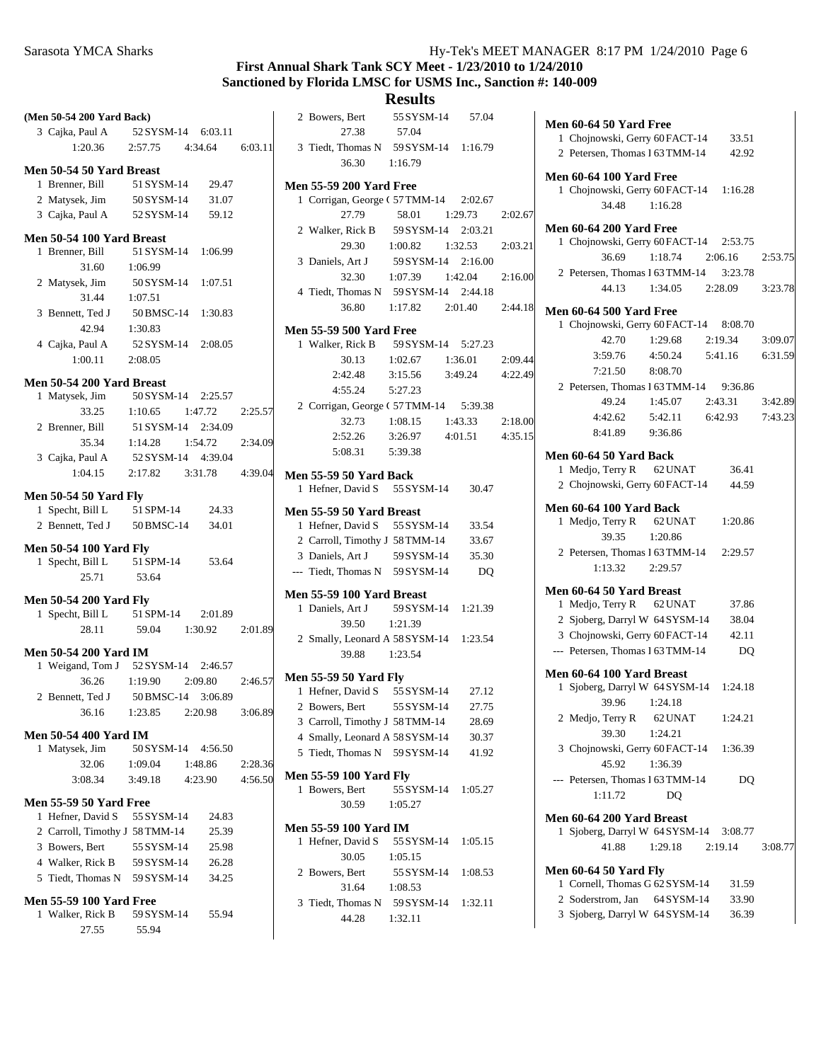#### Sarasota YMCA Sharks Hy-Tek's MEET MANAGER 8:17 PM 1/24/2010 Page 6

## **First Annual Shark Tank SCY Meet - 1/23/2010 to 1/24/2010 Sanctioned by Florida LMSC for USMS Inc., Sanction #: 140-009**

| (Men 50-54 200 Yard Back)      |                       |         | 2 Bowers, Bert<br>55 SYSM-14<br>57.04      |
|--------------------------------|-----------------------|---------|--------------------------------------------|
| 3 Cajka, Paul A                | 52 SYSM-14<br>6:03.11 |         | 27.38<br>57.04                             |
| 1:20.36                        | 2:57.75<br>4:34.64    | 6:03.11 | 3 Tiedt, Thomas N<br>59 SYSM-14<br>1:16.79 |
| Men 50-54 50 Yard Breast       |                       |         | 36.30<br>1:16.79                           |
| 1 Brenner, Bill                | 51 SYSM-14<br>29.47   |         | <b>Men 55-59 200 Yard Free</b>             |
| 2 Matysek, Jim                 | 50 SYSM-14<br>31.07   |         | 1 Corrigan, George (57 TMM-14<br>2:02.67   |
| 3 Cajka, Paul A                | 52 SYSM-14<br>59.12   |         | 27.79<br>58.01<br>1:29.73<br>2:02.67       |
|                                |                       |         | 59 SYSM-14<br>2 Walker, Rick B<br>2:03.21  |
| Men 50-54 100 Yard Breast      |                       |         | 29.30<br>1:00.82<br>1:32.53<br>2:03.21     |
| 1 Brenner, Bill                | 51 SYSM-14<br>1:06.99 |         | 59 SYSM-14<br>3 Daniels, Art J<br>2:16.00  |
| 31.60                          | 1:06.99               |         | 32.30<br>1:07.39<br>1:42.04<br>2:16.00     |
| 2 Matysek, Jim                 | 50 SYSM-14<br>1:07.51 |         | 4 Tiedt, Thomas N<br>59 SYSM-14<br>2:44.18 |
| 31.44                          | 1:07.51               |         | 36.80<br>2:44.18<br>1:17.82<br>2:01.40     |
| 3 Bennett, Ted J               | 50 BMSC-14<br>1:30.83 |         |                                            |
| 42.94                          | 1:30.83               |         | <b>Men 55-59 500 Yard Free</b>             |
| 4 Cajka, Paul A                | 52 SYSM-14<br>2:08.05 |         | 1 Walker, Rick B<br>59 SYSM-14<br>5:27.23  |
| 1:00.11                        | 2:08.05               |         | 30.13<br>1:02.67<br>1:36.01<br>2:09.44     |
| Men 50-54 200 Yard Breast      |                       |         | 4:22.49<br>2:42.48<br>3:15.56<br>3:49.24   |
| 1 Matysek, Jim                 | 50 SYSM-14<br>2:25.57 |         | 5:27.23<br>4:55.24                         |
| 33.25                          | 1:10.65<br>1:47.72    | 2:25.57 | 2 Corrigan, George (57 TMM-14<br>5:39.38   |
| 2 Brenner, Bill                | 51 SYSM-14<br>2:34.09 |         | 32.73<br>1:08.15<br>1:43.33<br>2:18.00     |
| 35.34                          | 1:14.28<br>1:54.72    | 2:34.09 | 2:52.26<br>3:26.97<br>4:35.15<br>4:01.51   |
| 3 Cajka, Paul A                | 52 SYSM-14<br>4:39.04 |         | 5:08.31<br>5:39.38                         |
| 1:04.15                        | 2:17.82<br>3:31.78    | 4:39.04 | <b>Men 55-59 50 Yard Back</b>              |
|                                |                       |         | 1 Hefner, David S<br>55 SYSM-14<br>30.47   |
| <b>Men 50-54 50 Yard Fly</b>   |                       |         |                                            |
| 1 Specht, Bill L               | 51 SPM-14<br>24.33    |         | Men 55-59 50 Yard Breast                   |
| 2 Bennett, Ted J               | 50 BMSC-14<br>34.01   |         | 1 Hefner, David S<br>55 SYSM-14<br>33.54   |
| <b>Men 50-54 100 Yard Fly</b>  |                       |         | 2 Carroll, Timothy J 58 TMM-14<br>33.67    |
| 1 Specht, Bill L               | 51 SPM-14<br>53.64    |         | 3 Daniels, Art J<br>59 SYSM-14<br>35.30    |
| 25.71                          | 53.64                 |         | --- Tiedt, Thomas N<br>59 SYSM-14<br>DQ    |
|                                |                       |         | Men 55-59 100 Yard Breast                  |
| <b>Men 50-54 200 Yard Fly</b>  |                       |         | 59 SYSM-14<br>1 Daniels, Art J<br>1:21.39  |
| 1 Specht, Bill L               | 51 SPM-14<br>2:01.89  |         | 1:21.39<br>39.50                           |
| 28.11                          | 59.04<br>1:30.92      | 2:01.89 | 2 Smally, Leonard A 58 SYSM-14<br>1:23.54  |
| <b>Men 50-54 200 Yard IM</b>   |                       |         | 39.88<br>1:23.54                           |
| 1 Weigand, Tom J               | 52 SYSM-14<br>2:46.57 |         |                                            |
| 36.26                          | 1:19.90<br>2:09.80    | 2:46.57 | <b>Men 55-59 50 Yard Fly</b>               |
| 2 Bennett, Ted J               | 50 BMSC-14<br>3:06.89 |         | 55 SYSM-14<br>1 Hefner, David S<br>27.12   |
| 36.16                          | 1:23.85<br>2:20.98    | 3:06.89 | 27.75<br>55 SYSM-14<br>2 Bowers, Bert      |
| <b>Men 50-54 400 Yard IM</b>   |                       |         | 3 Carroll, Timothy J 58 TMM-14<br>28.69    |
| 1 Matysek, Jim                 | 50 SYSM-14<br>4:56.50 |         | 4 Smally, Leonard A 58 SYSM-14<br>30.37    |
| 32.06                          | 1:09.04<br>1:48.86    | 2:28.36 | 5 Tiedt, Thomas N 59 SYSM-14<br>41.92      |
| 3:08.34                        | 3:49.18<br>4:23.90    | 4:56.50 | <b>Men 55-59 100 Yard Fly</b>              |
|                                |                       |         | 1 Bowers, Bert<br>55 SYSM-14<br>1:05.27    |
| <b>Men 55-59 50 Yard Free</b>  |                       |         | 30.59<br>1:05.27                           |
| 1 Hefner, David S              | 55 SYSM-14<br>24.83   |         |                                            |
| 2 Carroll, Timothy J 58 TMM-14 | 25.39                 |         | <b>Men 55-59 100 Yard IM</b>               |
| 3 Bowers, Bert                 | 55 SYSM-14<br>25.98   |         | 1 Hefner, David S<br>55 SYSM-14<br>1:05.15 |
| 4 Walker, Rick B               | 59 SYSM-14<br>26.28   |         | 30.05<br>1:05.15                           |
| 5 Tiedt, Thomas N              | 59 SYSM-14<br>34.25   |         | 2 Bowers, Bert<br>55 SYSM-14<br>1:08.53    |
| <b>Men 55-59 100 Yard Free</b> |                       |         | 31.64<br>1:08.53                           |
| 1 Walker, Rick B               | 59 SYSM-14<br>55.94   |         | 3 Tiedt, Thomas N<br>59 SYSM-14<br>1:32.11 |
| 27.55                          | 55.94                 |         | 44.28<br>1:32.11                           |
|                                |                       |         |                                            |

| <b>Men 60-64 50 Yard Free</b>                        |                               |                 |         |
|------------------------------------------------------|-------------------------------|-----------------|---------|
| 1 Chojnowski, Gerry 60 FACT-14                       |                               | 33.51           |         |
| 2 Petersen, Thomas 1 63 TMM-14                       |                               | 42.92           |         |
| <b>Men 60-64 100 Yard Free</b>                       |                               |                 |         |
| 1 Chojnowski, Gerry 60 FACT-14 1:16.28               |                               |                 |         |
| 34.48                                                | 1:16.28                       |                 |         |
| <b>Men 60-64 200 Yard Free</b>                       |                               |                 |         |
| 1 Chojnowski, Gerry 60 FACT-14 2:53.75               |                               |                 |         |
| 36.69                                                | $1:18.74$ $2:06.16$           |                 | 2:53.75 |
| 2 Petersen, Thomas 1 63 TMM-14 3:23.78               |                               |                 |         |
|                                                      | 44.13 1:34.05 2:28.09 3:23.78 |                 |         |
| <b>Men 60-64 500 Yard Free</b>                       |                               |                 |         |
| 1 Chojnowski, Gerry 60 FACT-14 8:08.70               |                               |                 |         |
| 42.70                                                | 1:29.68                       | 2:19.34         | 3:09.07 |
| 3:59.76                                              | 4:50.24                       | 5:41.16 6:31.59 |         |
| 7:21.50                                              | 8:08.70                       |                 |         |
| 2 Petersen, Thomas 1 63 TMM-14 9:36.86               |                               |                 |         |
| 49.24                                                | 1:45.07  2:43.31  3:42.89     |                 |         |
| 4:42.62 5:42.11 6:42.93                              |                               |                 | 7:43.23 |
| 8:41.89 9:36.86                                      |                               |                 |         |
| <b>Men 60-64 50 Yard Back</b>                        |                               |                 |         |
| 1 Medjo, Terry R 62 UNAT                             |                               | 36.41           |         |
| 2 Chojnowski, Gerry 60 FACT-14 44.59                 |                               |                 |         |
| Men 60-64 100 Yard Back                              |                               |                 |         |
| 1 Medjo, Terry R 62 UNAT 1:20.86                     |                               |                 |         |
| 39.35                                                | 1:20.86                       |                 |         |
| 2 Petersen, Thomas 1 63 TMM-14 2:29.57               |                               |                 |         |
| $1:13.32$ $2:29.57$                                  |                               |                 |         |
|                                                      |                               |                 |         |
| Men 60-64 50 Yard Breast<br>1 Medjo, Terry R 62 UNAT |                               | 37.86           |         |
| 2 Sjoberg, Darryl W 64 SYSM-14                       |                               | 38.04           |         |
| 3 Chojnowski, Gerry 60 FACT-14 42.11                 |                               |                 |         |
| --- Petersen, Thomas 1 63 TMM-14                     |                               | DQ              |         |
|                                                      |                               |                 |         |
| Men 60-64 100 Yard Breast                            |                               |                 |         |
| 1 Sjoberg, Darryl W 64 SYSM-14 1:24.18               |                               |                 |         |
| 39.96                                                | 1:24.18                       |                 |         |
| 2 Medjo, Terry R 62 UNAT<br>39.30                    |                               | 1:24.21         |         |
| 3 Chojnowski, Gerry 60 FACT-14 1:36.39               | 1:24.21                       |                 |         |
| 45.92                                                | 1:36.39                       |                 |         |
| --- Petersen, Thomas 1 63 TMM-14                     |                               | DQ              |         |
| 1:11.72                                              | DQ                            |                 |         |
|                                                      |                               |                 |         |
| Men 60-64 200 Yard Breast                            |                               |                 |         |
| 1 Sjoberg, Darryl W 64 SYSM-14 3:08.77               |                               |                 |         |
| 41.88                                                | $1:29.18$ $2:19.14$           |                 | 3:08.77 |
| <b>Men 60-64 50 Yard Fly</b>                         |                               |                 |         |
| 1 Cornell, Thomas G 62 SYSM-14                       |                               | 31.59           |         |
| 2 Soderstrom, Jan 64 SYSM-14                         |                               | 33.90           |         |
| 3 Sjoberg, Darryl W 64 SYSM-14                       |                               | 36.39           |         |
|                                                      |                               |                 |         |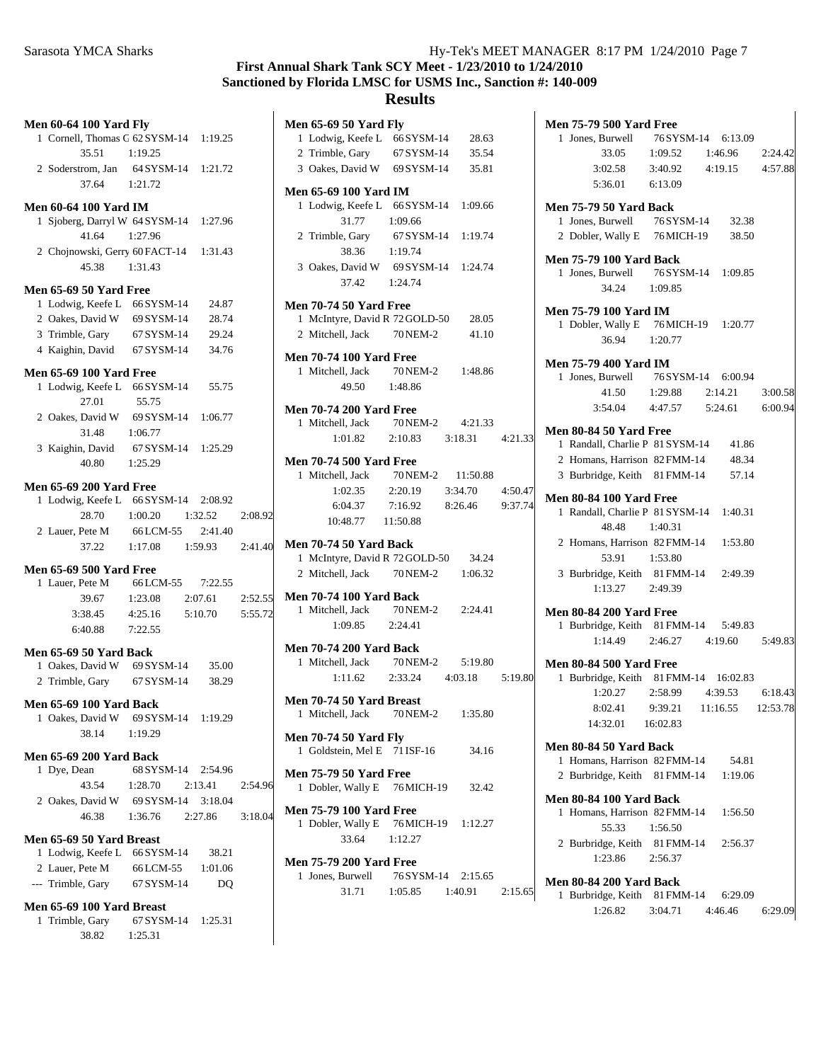Sarasota YMCA Sharks Hy-Tek's MEET MANAGER 8:17 PM 1/24/2010 Page 7

# **First Annual Shark Tank SCY Meet - 1/23/2010 to 1/24/2010 Sanctioned by Florida LMSC for USMS Inc., Sanction #: 140-009**

|                                                                              | <b>Men 60-64 100 Yard Fly</b> |                |         |  |  |
|------------------------------------------------------------------------------|-------------------------------|----------------|---------|--|--|
| 1 Cornell, Thomas G 62 SYSM-14 1:19.25                                       |                               |                |         |  |  |
| 35.51 1:19.25                                                                |                               |                |         |  |  |
| 2 Soderstrom, Jan 64 SYSM-14 1:21.72                                         |                               |                |         |  |  |
| 37.64 1:21.72                                                                |                               |                |         |  |  |
|                                                                              |                               |                |         |  |  |
| <b>Men 60-64 100 Yard IM</b>                                                 |                               |                |         |  |  |
| 1 Sjoberg, Darryl W 64 SYSM-14 1:27.96                                       |                               |                |         |  |  |
| 41.64                                                                        | 1:27.96                       |                |         |  |  |
| 2 Chojnowski, Gerry 60 FACT-14 1:31.43                                       |                               |                |         |  |  |
| 45.38                                                                        | 1:31.43                       |                |         |  |  |
| <b>Men 65-69 50 Yard Free</b>                                                |                               |                |         |  |  |
| 1 Lodwig, Keefe L 66 SYSM-14 24.87                                           |                               |                |         |  |  |
| 2 Oakes, David W 69 SYSM-14                                                  |                               | 28.74          |         |  |  |
| 3 Trimble, Gary 67 SYSM-14 29.24                                             |                               |                |         |  |  |
| 4 Kaighin, David 67 SYSM-14 34.76                                            |                               |                |         |  |  |
|                                                                              |                               |                |         |  |  |
| <b>Men 65-69 100 Yard Free</b>                                               |                               |                |         |  |  |
| 1 Lodwig, Keefe L 66 SYSM-14 55.75                                           |                               |                |         |  |  |
| 27.01<br>27.01 33.12<br>2 Oakes, David W 69 SYSM-14 1:06.77<br>31.48 1:06.77 | 55.75                         |                |         |  |  |
|                                                                              |                               |                |         |  |  |
|                                                                              |                               |                |         |  |  |
| 3 Kaighin, David 67 SYSM-14 1:25.29<br>40.80 1:25.29                         |                               |                |         |  |  |
|                                                                              |                               |                |         |  |  |
| <b>Men 65-69 200 Yard Free</b>                                               |                               |                |         |  |  |
| 1 Lodwig, Keefe L 66 SYSM-14 2:08.92                                         |                               |                |         |  |  |
|                                                                              | 28.70 1:00.20 1:32.52         |                | 2:08.92 |  |  |
| 2 Lauer, Pete M 66 LCM-55 2:41.40                                            |                               |                |         |  |  |
|                                                                              | 37.22 1:17.08 1:59.93         |                | 2:41.40 |  |  |
|                                                                              |                               |                |         |  |  |
| <b>Men 65-69 500 Yard Free</b><br>1 Lauer, Pete M 66 LCM-55 7:22.55          |                               |                |         |  |  |
|                                                                              |                               |                |         |  |  |
|                                                                              |                               |                |         |  |  |
|                                                                              | 39.67 1:23.08 2:07.61 2:52.55 |                |         |  |  |
| $3:38.45$ $4:25.16$ $5:10.70$                                                |                               |                | 5:55.72 |  |  |
| 6:40.88 7:22.55                                                              |                               |                |         |  |  |
| Men 65-69 50 Yard Back                                                       |                               |                |         |  |  |
| 1 Oakes, David W 69 SYSM-14 35.00                                            |                               |                |         |  |  |
| 2 Trimble, Gary 67 SYSM-14 38.29                                             |                               |                |         |  |  |
|                                                                              |                               |                |         |  |  |
| <b>Men 65-69 100 Yard Back</b>                                               |                               |                |         |  |  |
| 1 Oakes, David W 69 SYSM-14 1:19.29<br>38.14                                 |                               |                |         |  |  |
|                                                                              | 1:19.29                       |                |         |  |  |
| <b>Men 65-69 200 Yard Back</b>                                               |                               |                |         |  |  |
| 1 Dye, Dean                                                                  | 68 SYSM-14 2:54.96            |                |         |  |  |
|                                                                              | 43.54 1:28.70                 | 2:13.41        | 2:54.96 |  |  |
| 2 Oakes, David W 69 SYSM-14 3:18.04                                          |                               |                |         |  |  |
|                                                                              | 46.38 1:36.76 2:27.86         |                | 3:18.04 |  |  |
| Men 65-69 50 Yard Breast                                                     |                               |                |         |  |  |
|                                                                              |                               | 38.21          |         |  |  |
| 1 Lodwig, Keefe L 66 SYSM-14<br>2 Lauer, Pete M                              | 66 LCM-55                     | 1:01.06        |         |  |  |
| --- Trimble, Gary 67 SYSM-14                                                 |                               | D <sub>O</sub> |         |  |  |
|                                                                              |                               |                |         |  |  |
| Men 65-69 100 Yard Breast                                                    |                               |                |         |  |  |
| 1 Trimble, Gary 67 SYSM-14 1:25.31<br>38.82 1:25.31                          |                               |                |         |  |  |

| <b>Men 65-69 50 Yard Fly</b>                                            |                                     |         |  |
|-------------------------------------------------------------------------|-------------------------------------|---------|--|
| 1 Lodwig, Keefe L 66 SYSM-14 28.63                                      |                                     |         |  |
| 2 Trimble, Gary $67$ SYSM-14                                            |                                     | 35.54   |  |
| 3 Oakes, David W 69 SYSM-14 35.81                                       |                                     |         |  |
| Men 65-69 100 Yard IM                                                   |                                     |         |  |
| 1 Lodwig, Keefe L 66 SYSM-14 1:09.66                                    |                                     |         |  |
| 31.77 1:09.66                                                           |                                     |         |  |
| 2 Trimble, Gary 67 SYSM-14 1:19.74                                      |                                     |         |  |
| 38.36 1:19.74                                                           |                                     |         |  |
| 3 Oakes, David W 69 SYSM-14 1:24.74                                     |                                     |         |  |
| $37.42$ $1:24.74$                                                       |                                     |         |  |
|                                                                         |                                     |         |  |
| <b>Men 70-74 50 Yard Free</b>                                           |                                     |         |  |
| 1 McIntyre, David R 72 GOLD-50 28.05<br>2 Mitchell, Jack 70 NEM-2 41.10 |                                     |         |  |
|                                                                         |                                     |         |  |
| <b>Men 70-74 100 Yard Free</b>                                          |                                     |         |  |
| 1 Mitchell, Jack 70NEM-2 1:48.86                                        |                                     |         |  |
| 49.50 1:48.86                                                           |                                     |         |  |
| <b>Men 70-74 200 Yard Free</b>                                          |                                     |         |  |
| 1 Mitchell, Jack 70 NEM-2 4:21.33                                       |                                     |         |  |
|                                                                         | 1:01.82  2:10.83  3:18.31  4:21.33  |         |  |
|                                                                         |                                     |         |  |
| <b>Men 70-74 500 Yard Free</b><br>1 Mitchell, Jack 70 NEM-2 11:50.88    |                                     |         |  |
|                                                                         |                                     |         |  |
| 1:02.35                                                                 | $2:20.19$ $3:34.70$ $4:50.47$       |         |  |
|                                                                         | 6:04.37 7:16.92 8:26.46 9:37.74     |         |  |
| 10:48.77  11:50.88                                                      |                                     |         |  |
| <b>Men 70-74 50 Yard Back</b>                                           |                                     |         |  |
| 1 McIntyre, David R 72 GOLD-50 34.24                                    |                                     |         |  |
| 2 Mitchell, Jack 70 NEM-2 1:06.32                                       |                                     |         |  |
|                                                                         |                                     |         |  |
| <b>Men 70-74 100 Yard Back</b><br>1 Mitchell, Jack 70 NEM-2 2:24.41     |                                     |         |  |
| $1:09.85$ $2:24.41$                                                     |                                     |         |  |
|                                                                         |                                     |         |  |
| <b>Men 70-74 200 Yard Back</b>                                          |                                     |         |  |
| 1 Mitchell, Jack 70 NEM-2 5:19.80                                       |                                     |         |  |
|                                                                         | 1:11.62  2:33.24  4:03.18  5:19.80  |         |  |
| <b>Men 70-74 50 Yard Breast</b>                                         |                                     |         |  |
| 1 Mitchell, Jack                                                        | 70 NEM-2                            | 1:35.80 |  |
|                                                                         |                                     |         |  |
| <b>Men 70-74 50 Yard Fly</b>                                            |                                     |         |  |
| 1 Goldstein, Mel E 71 ISF-16                                            |                                     | 34.16   |  |
| <b>Men 75-79 50 Yard Free</b>                                           |                                     |         |  |
| 1 Dobler, Wally E 76 MICH-19 32.42                                      |                                     |         |  |
| <b>Men 75-79 100 Yard Free</b>                                          |                                     |         |  |
| 1 Dobler, Wally E 76 MICH-19 1:12.27                                    |                                     |         |  |
| 33.64 1:12.27                                                           |                                     |         |  |
|                                                                         |                                     |         |  |
| <b>Men 75-79 200 Yard Free</b>                                          |                                     |         |  |
| 1 Jones, Burwell 76 SYSM-14 2:15.65                                     |                                     |         |  |
|                                                                         | 31.71   1:05.85   1:40.91   2:15.65 |         |  |

| <b>Men 75-79 500 Yard Free</b>                        |          |         |         |  |  |
|-------------------------------------------------------|----------|---------|---------|--|--|
| 1 Jones, Burwell 76 SYSM-14 6:13.09                   |          |         |         |  |  |
| 33.05 1:09.52 1:46.96 2:24.42                         |          |         |         |  |  |
| 3:02.58 3:40.92 4:19.15 4:57.88                       |          |         |         |  |  |
| 5:36.01 6:13.09                                       |          |         |         |  |  |
| <b>Men 75-79 50 Yard Back</b>                         |          |         |         |  |  |
| 1 Jones, Burwell 76 SYSM-14 32.38                     |          |         |         |  |  |
| 2 Dobler, Wally E 76 MICH-19 38.50                    |          |         |         |  |  |
|                                                       |          |         |         |  |  |
| <b>Men 75-79 100 Yard Back</b>                        |          |         |         |  |  |
| 1 Jones, Burwell 76 SYSM-14 1:09.85                   |          |         |         |  |  |
| 34.24 1:09.85                                         |          |         |         |  |  |
| <b>Men 75-79 100 Yard IM</b>                          |          |         |         |  |  |
| 1 Dobler, Wally E 76 MICH-19 1:20.77<br>36.94 1:20.77 |          |         |         |  |  |
|                                                       |          |         |         |  |  |
| <b>Men 75-79 400 Yard IM</b>                          |          |         |         |  |  |
| 1 Jones, Burwell 76 SYSM-14 6:00.94                   |          |         |         |  |  |
| 41.50   1:29.88   2:14.21   3:00.58                   |          |         |         |  |  |
| 3:54.04  4:47.57  5:24.61  6:00.94                    |          |         |         |  |  |
|                                                       |          |         |         |  |  |
| Men 80-84 50 Yard Free                                |          |         |         |  |  |
| 1 Randall, Charlie P 81 SYSM-14 41.86                 |          |         |         |  |  |
| 2 Homans, Harrison 82 FMM-14 48.34                    |          |         |         |  |  |
| 3 Burbridge, Keith 81 FMM-14 57.14                    |          |         |         |  |  |
| <b>Men 80-84 100 Yard Free</b>                        |          |         |         |  |  |
| 1 Randall, Charlie P 81 SYSM-14 1:40.31               |          |         |         |  |  |
| 48.48 1:40.31                                         |          |         |         |  |  |
| 2 Homans, Harrison 82 FMM-14 1:53.80                  |          |         |         |  |  |
| 53.91 1:53.80                                         |          |         |         |  |  |
| 3 Burbridge, Keith 81 FMM-14 2:49.39                  |          |         |         |  |  |
| $1:13.27$ $2:49.39$                                   |          |         |         |  |  |
| <b>Men 80-84 200 Yard Free</b>                        |          |         |         |  |  |
| 1 Burbridge, Keith 81 FMM-14 5:49.83                  |          |         |         |  |  |
| $1:14.49$ $2:46.27$ $4:19.60$                         |          |         | 5:49.83 |  |  |
|                                                       |          |         |         |  |  |
| <b>Men 80-84 500 Yard Free</b>                        |          |         |         |  |  |
| 1 Burbridge, Keith 81 FMM-14 16:02.83                 |          |         |         |  |  |
| 1:20.27  2:58.99  4:39.53  6:18.43                    |          |         |         |  |  |
| 8:02.41 9:39.21 11:16.55 12:53.78                     |          |         |         |  |  |
| 14:32.01                                              | 16:02.83 |         |         |  |  |
| Men 80-84 50 Yard Back                                |          |         |         |  |  |
| 1 Homans, Harrison 82 FMM-14                          |          | 54.81   |         |  |  |
| 2 Burbridge, Keith 81 FMM-14                          |          | 1:19.06 |         |  |  |
|                                                       |          |         |         |  |  |
| <b>Men 80-84 100 Yard Back</b>                        |          |         |         |  |  |
| 1 Homans, Harrison 82 FMM-14                          |          | 1:56.50 |         |  |  |
| 55.33                                                 | 1:56.50  |         |         |  |  |
| 2 Burbridge, Keith 81 FMM-14                          |          | 2:56.37 |         |  |  |
| 1:23.86                                               | 2:56.37  |         |         |  |  |
| <b>Men 80-84 200 Yard Back</b>                        |          |         |         |  |  |
| 1 Burbridge, Keith 81 FMM-14 6:29.09                  |          |         |         |  |  |
| $1:26.82$ $3:04.71$ $4:46.46$                         |          |         | 6:29.09 |  |  |